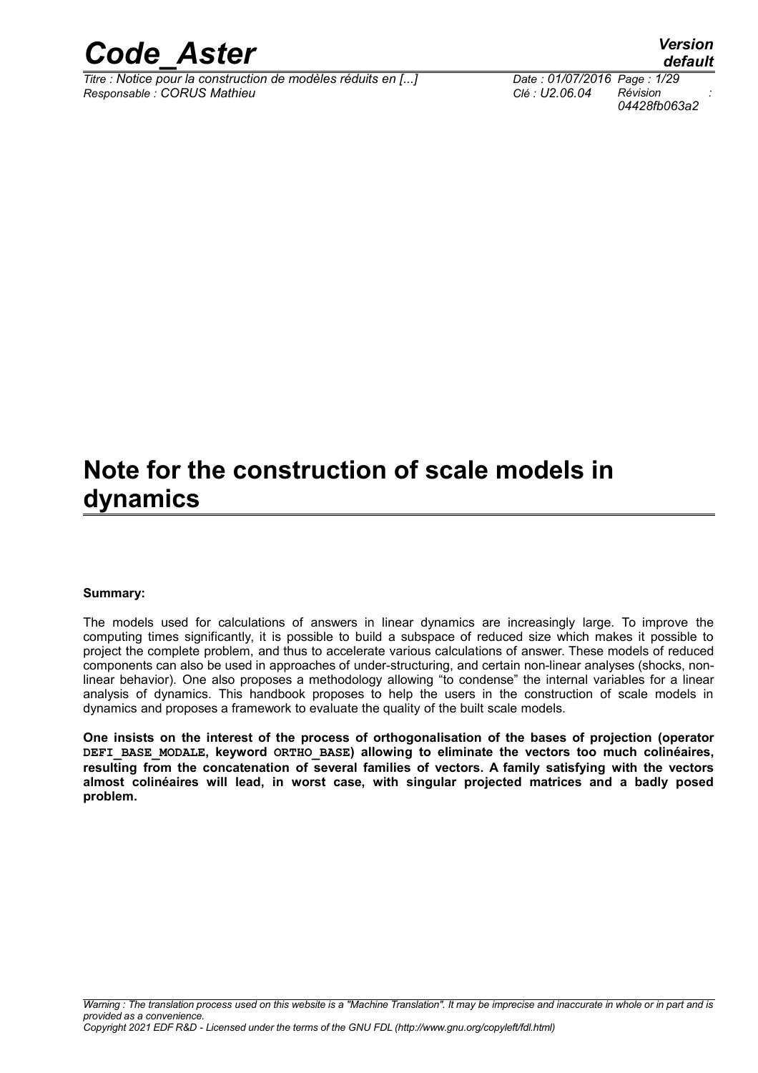

*Titre : Notice pour la construction de modèles réduits en [...] Date : 01/07/2016 Page : 1/29 Responsable : CORUS Mathieu Clé : U2.06.04 Révision :*

*default 04428fb063a2*

# **Note for the construction of scale models in dynamics**

#### **Summary:**

The models used for calculations of answers in linear dynamics are increasingly large. To improve the computing times significantly, it is possible to build a subspace of reduced size which makes it possible to project the complete problem, and thus to accelerate various calculations of answer. These models of reduced components can also be used in approaches of under-structuring, and certain non-linear analyses (shocks, nonlinear behavior). One also proposes a methodology allowing "to condense" the internal variables for a linear analysis of dynamics. This handbook proposes to help the users in the construction of scale models in dynamics and proposes a framework to evaluate the quality of the built scale models.

**One insists on the interest of the process of orthogonalisation of the bases of projection (operator DEFI\_BASE\_MODALE, keyword ORTHO\_BASE) allowing to eliminate the vectors too much colinéaires, resulting from the concatenation of several families of vectors. A family satisfying with the vectors almost colinéaires will lead, in worst case, with singular projected matrices and a badly posed problem.**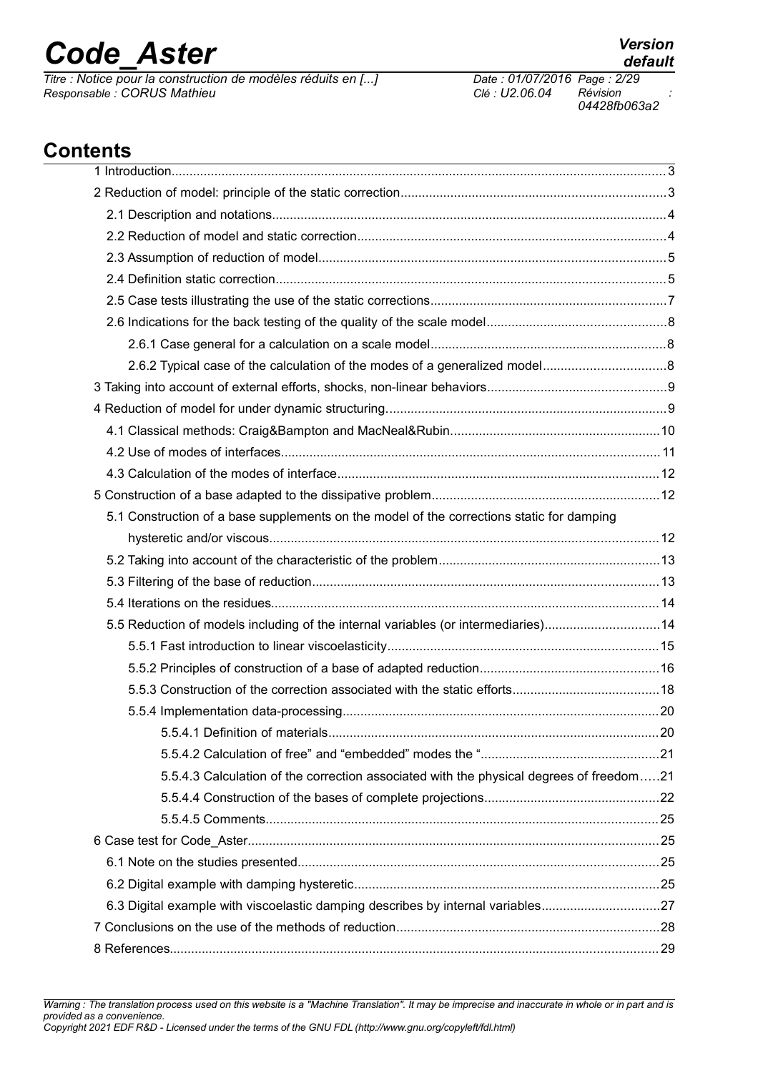*Titre : Notice pour la construction de modèles réduits en [...] Date : 01/07/2016 Page : 2/29 Responsable : CORUS Mathieu Clé : U2.06.04 Révision :*

*04428fb063a2*

## **Contents**

| 5.1 Construction of a base supplements on the model of the corrections static for damping |  |
|-------------------------------------------------------------------------------------------|--|
|                                                                                           |  |
|                                                                                           |  |
|                                                                                           |  |
|                                                                                           |  |
| 5.5 Reduction of models including of the internal variables (or intermediaries)14         |  |
|                                                                                           |  |
|                                                                                           |  |
|                                                                                           |  |
|                                                                                           |  |
|                                                                                           |  |
|                                                                                           |  |
| 5.5.4.3 Calculation of the correction associated with the physical degrees of freedom21   |  |
|                                                                                           |  |
|                                                                                           |  |
|                                                                                           |  |
|                                                                                           |  |
|                                                                                           |  |
| 6.3 Digital example with viscoelastic damping describes by internal variables27           |  |
|                                                                                           |  |
|                                                                                           |  |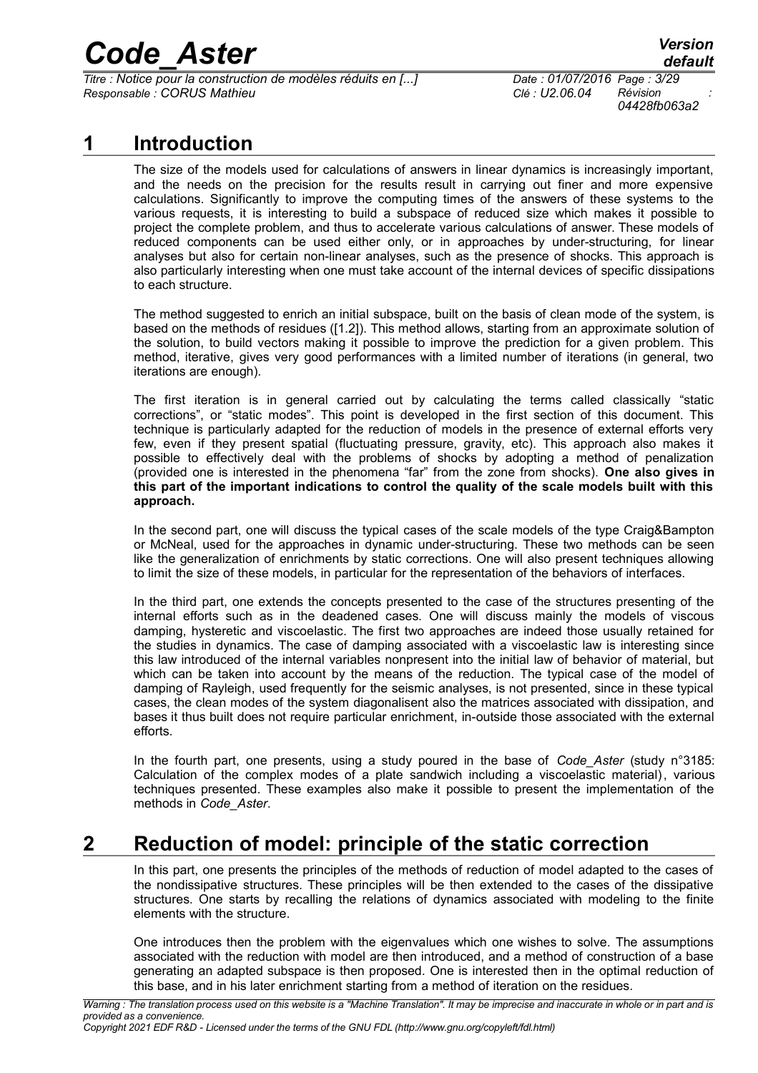*Titre : Notice pour la construction de modèles réduits en [...] Date : 01/07/2016 Page : 3/29 Responsable : CORUS Mathieu Clé : U2.06.04 Révision :*

*04428fb063a2*

### **1 Introduction**

The size of the models used for calculations of answers in linear dynamics is increasingly important, and the needs on the precision for the results result in carrying out finer and more expensive calculations. Significantly to improve the computing times of the answers of these systems to the various requests, it is interesting to build a subspace of reduced size which makes it possible to project the complete problem, and thus to accelerate various calculations of answer. These models of reduced components can be used either only, or in approaches by under-structuring, for linear analyses but also for certain non-linear analyses, such as the presence of shocks. This approach is also particularly interesting when one must take account of the internal devices of specific dissipations to each structure.

The method suggested to enrich an initial subspace, built on the basis of clean mode of the system, is based on the methods of residues ([1.2]). This method allows, starting from an approximate solution of the solution, to build vectors making it possible to improve the prediction for a given problem. This method, iterative, gives very good performances with a limited number of iterations (in general, two iterations are enough).

The first iteration is in general carried out by calculating the terms called classically "static corrections", or "static modes". This point is developed in the first section of this document. This technique is particularly adapted for the reduction of models in the presence of external efforts very few, even if they present spatial (fluctuating pressure, gravity, etc). This approach also makes it possible to effectively deal with the problems of shocks by adopting a method of penalization (provided one is interested in the phenomena "far" from the zone from shocks). **One also gives in this part of the important indications to control the quality of the scale models built with this approach.**

In the second part, one will discuss the typical cases of the scale models of the type Craig&Bampton or McNeal, used for the approaches in dynamic under-structuring. These two methods can be seen like the generalization of enrichments by static corrections. One will also present techniques allowing to limit the size of these models, in particular for the representation of the behaviors of interfaces.

In the third part, one extends the concepts presented to the case of the structures presenting of the internal efforts such as in the deadened cases. One will discuss mainly the models of viscous damping, hysteretic and viscoelastic. The first two approaches are indeed those usually retained for the studies in dynamics. The case of damping associated with a viscoelastic law is interesting since this law introduced of the internal variables nonpresent into the initial law of behavior of material, but which can be taken into account by the means of the reduction. The typical case of the model of damping of Rayleigh, used frequently for the seismic analyses, is not presented, since in these typical cases, the clean modes of the system diagonalisent also the matrices associated with dissipation, and bases it thus built does not require particular enrichment, in-outside those associated with the external efforts.

In the fourth part, one presents, using a study poured in the base of *Code\_Aster* (study n°3185: Calculation of the complex modes of a plate sandwich including a viscoelastic material), various techniques presented. These examples also make it possible to present the implementation of the methods in *Code\_Aster*.

## **2 Reduction of model: principle of the static correction**

In this part, one presents the principles of the methods of reduction of model adapted to the cases of the nondissipative structures. These principles will be then extended to the cases of the dissipative structures. One starts by recalling the relations of dynamics associated with modeling to the finite elements with the structure.

One introduces then the problem with the eigenvalues which one wishes to solve. The assumptions associated with the reduction with model are then introduced, and a method of construction of a base generating an adapted subspace is then proposed. One is interested then in the optimal reduction of this base, and in his later enrichment starting from a method of iteration on the residues.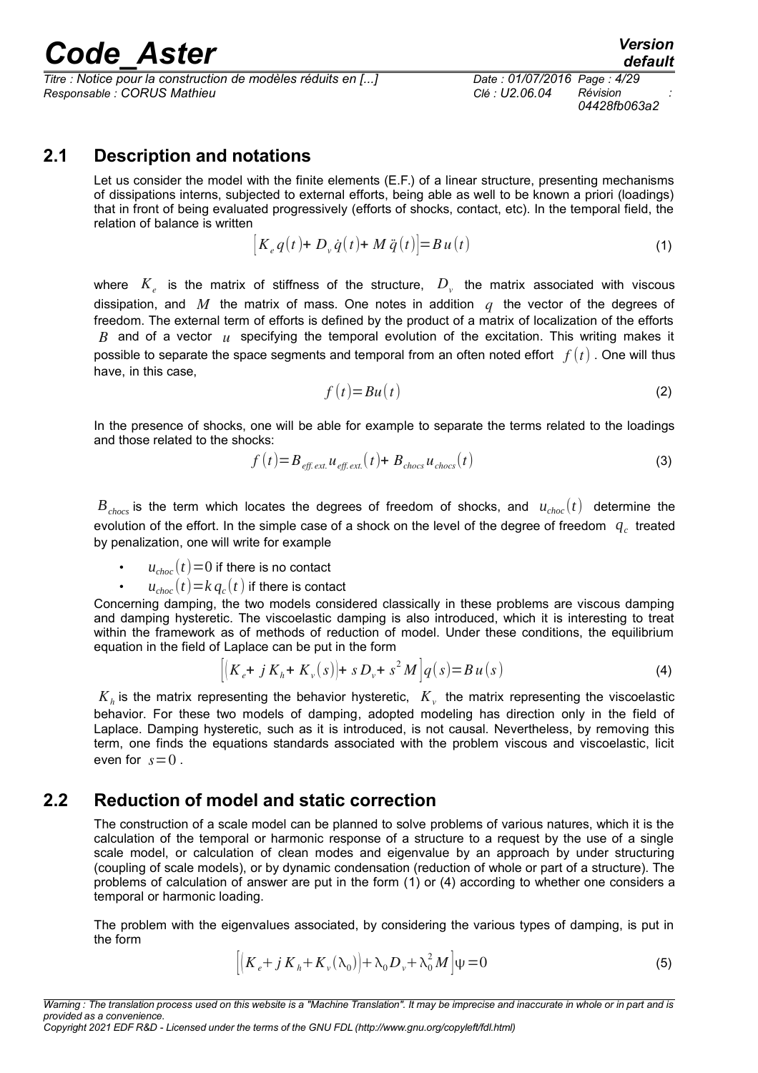*Titre : Notice pour la construction de modèles réduits en [...] Date : 01/07/2016 Page : 4/29 Responsable : CORUS Mathieu Clé : U2.06.04 Révision :*

<span id="page-3-0"></span>*04428fb063a2*

### **2.1 Description and notations**

Let us consider the model with the finite elements (E.F.) of a linear structure, presenting mechanisms of dissipations interns, subjected to external efforts, being able as well to be known a priori (loadings) that in front of being evaluated progressively (efforts of shocks, contact, etc). In the temporal field, the relation of balance is written

$$
\left[K_e q(t) + D_v \dot{q}(t) + M \ddot{q}(t)\right] = Bu(t)
$$
\n(1)

where  $K_e$  is the matrix of stiffness of the structure,  $D_v$  the matrix associated with viscous dissipation, and *M* the matrix of mass. One notes in addition *q* the vector of the degrees of freedom. The external term of efforts is defined by the product of a matrix of localization of the efforts *B* and of a vector *u* specifying the temporal evolution of the excitation. This writing makes it possible to separate the space segments and temporal from an often noted effort *f* (*t*) . One will thus have, in this case,

<span id="page-3-1"></span>
$$
f(t)=Bu(t)
$$
 (2)

In the presence of shocks, one will be able for example to separate the terms related to the loadings and those related to the shocks:

$$
f(t) = B_{\text{eff. ext.}} u_{\text{eff. ext.}}(t) + B_{\text{chocs}} u_{\text{chocs}}(t)
$$
\n(3)

 $B<sub>chocs</sub>$  is the term which locates the degrees of freedom of shocks, and  $u<sub>choc</sub>(t)$  determine the evolution of the effort. In the simple case of a shock on the level of the degree of freedom  $q_c$  treated by penalization, one will write for example

 $u_{choc}(t)$ =0 if there is no contact

•  $u_{choc}(t)$   $=$   $k$   $q_c(t)$  if there is contact

Concerning damping, the two models considered classically in these problems are viscous damping and damping hysteretic. The viscoelastic damping is also introduced, which it is interesting to treat within the framework as of methods of reduction of model. Under these conditions, the equilibrium equation in the field of Laplace can be put in the form

$$
[(K_e + j K_h + K_v(s))] + s D_v + s^2 M]q(s) = Bu(s)
$$
\n(4)

 $K_h$  is the matrix representing the behavior hysteretic,  $K_v$  the matrix representing the viscoelastic behavior. For these two models of damping, adopted modeling has direction only in the field of Laplace. Damping hysteretic, such as it is introduced, is not causal. Nevertheless, by removing this term, one finds the equations standards associated with the problem viscous and viscoelastic, licit even for  $s=0$ .

### **2.2 Reduction of model and static correction**

The construction of a scale model can be planned to solve problems of various natures, which it is the calculation of the temporal or harmonic response of a structure to a request by the use of a single scale model, or calculation of clean modes and eigenvalue by an approach by under structuring (coupling of scale models), or by dynamic condensation (reduction of whole or part of a structure). The problems of calculation of answer are put in the form [\(1\)](#page-3-0) or [\(4\)](#page-3-1) according to whether one considers a temporal or harmonic loading.

The problem with the eigenvalues associated, by considering the various types of damping, is put in the form

<span id="page-3-2"></span>
$$
\left| \left( K_e + j K_h + K_v(\lambda_0) \right) + \lambda_0 D_v + \lambda_0^2 M \right| \psi = 0 \tag{5}
$$

*Warning : The translation process used on this website is a "Machine Translation". It may be imprecise and inaccurate in whole or in part and is provided as a convenience. Copyright 2021 EDF R&D - Licensed under the terms of the GNU FDL (http://www.gnu.org/copyleft/fdl.html)*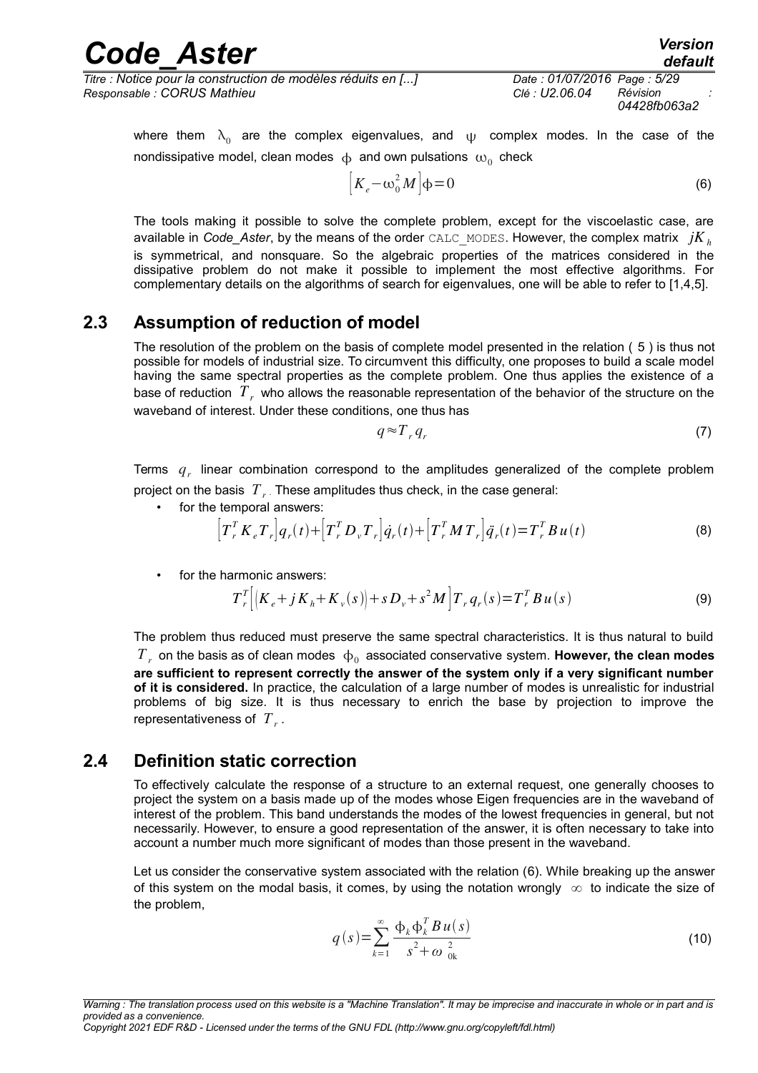| <b>Code Aster</b>                                            | <b>Version</b><br>default   |
|--------------------------------------------------------------|-----------------------------|
| Titre : Notice pour la construction de modèles réduits en [] | Date: 01/07/2016 Page: 5/29 |
| Responsable : CORUS Mathieu                                  | Révision<br>Clé : U2.06.04  |

<span id="page-4-0"></span>*04428fb063a2*

where them  $\lambda_0$  are the complex eigenvalues, and  $\psi$  complex modes. In the case of the nondissipative model, clean modes  $| \varphi |$  and own pulsations  $| \omega_0 |$  check

$$
\left[K_e - \omega_0^2 M\right] \Phi = 0\tag{6}
$$

The tools making it possible to solve the complete problem, except for the viscoelastic case, are available in *Code* Aster, by the means of the order CALC\_MODES. However, the complex matrix  $iK_h$ is symmetrical, and nonsquare. So the algebraic properties of the matrices considered in the dissipative problem do not make it possible to implement the most effective algorithms. For complementary details on the algorithms of search for eigenvalues, one will be able to refer to [1,4,5].

### **2.3 Assumption of reduction of model**

The resolution of the problem on the basis of complete model presented in the relation ( [5](#page-3-2) ) is thus not possible for models of industrial size. To circumvent this difficulty, one proposes to build a scale model having the same spectral properties as the complete problem. One thus applies the existence of a base of reduction  $\,T_{\,r}\,$  who allows the reasonable representation of the behavior of the structure on the waveband of interest. Under these conditions, one thus has

$$
q \approx T_r q_r \tag{7}
$$

Terms  $q<sub>r</sub>$  linear combination correspond to the amplitudes generalized of the complete problem project on the basis  $\left|T\right|_r$ . These amplitudes thus check, in the case general:

• for the temporal answers:

$$
\left[T_r^T K_e T_r\right] q_r(t) + \left[T_r^T D_v T_r\right] \dot{q}_r(t) + \left[T_r^T M T_r\right] \ddot{q}_r(t) = T_r^T B u(t)
$$
\n(8)

• for the harmonic answers:

$$
T_r^T [(K_e + jK_h + K_v(s)] + sD_v + s^2M] T_r q_r(s) = T_r^T B u(s)
$$
\n(9)

The problem thus reduced must preserve the same spectral characteristics. It is thus natural to build  $T_{\rm\scriptscriptstyle F}$  on the basis as of clean modes  $| \Phi_{0} \rangle$  associated conservative system. **However, the clean modes are sufficient to represent correctly the answer of the system only if a very significant number of it is considered.** In practice, the calculation of a large number of modes is unrealistic for industrial problems of big size. It is thus necessary to enrich the base by projection to improve the representativeness of *T<sup>r</sup>* .

### **2.4 Definition static correction**

<span id="page-4-2"></span>To effectively calculate the response of a structure to an external request, one generally chooses to project the system on a basis made up of the modes whose Eigen frequencies are in the waveband of interest of the problem. This band understands the modes of the lowest frequencies in general, but not necessarily. However, to ensure a good representation of the answer, it is often necessary to take into account a number much more significant of modes than those present in the waveband.

Let us consider the conservative system associated with the relation [\(6\)](#page-4-0). While breaking up the answer of this system on the modal basis, it comes, by using the notation wrongly  $\infty$  to indicate the size of the problem,

<span id="page-4-1"></span>
$$
q(s) = \sum_{k=1}^{\infty} \frac{\Phi_k \Phi_k^T B u(s)}{s^2 + \omega_{0k}^2}
$$
 (10)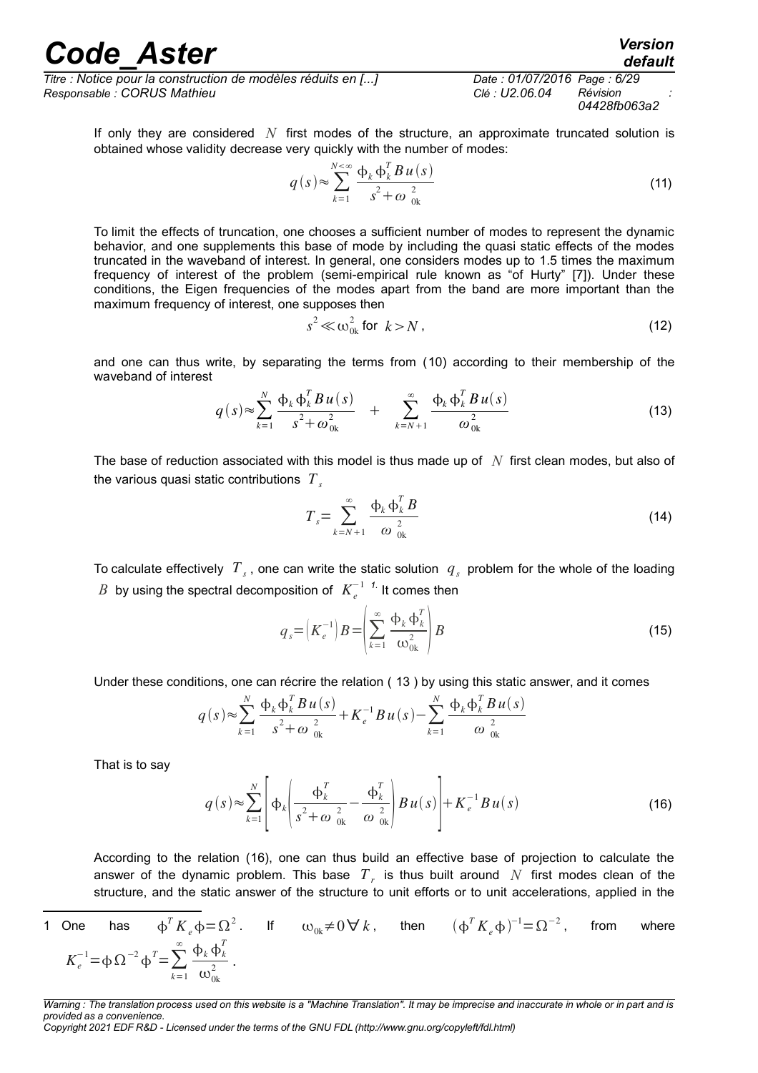*Titre : Notice pour la construction de modèles réduits en [...] Date : 01/07/2016 Page : 6/29 Responsable : CORUS Mathieu Clé : U2.06.04 Révision :*

*04428fb063a2*

<span id="page-5-1"></span>*default*

If only they are considered *N* first modes of the structure, an approximate truncated solution is obtained whose validity decrease very quickly with the number of modes:

$$
q(s) \approx \sum_{k=1}^{N<\infty} \frac{\Phi_k \Phi_k^T B u(s)}{s^2 + \omega_{0k}^2}
$$
 (11)

To limit the effects of truncation, one chooses a sufficient number of modes to represent the dynamic behavior, and one supplements this base of mode by including the quasi static effects of the modes truncated in the waveband of interest. In general, one considers modes up to 1.5 times the maximum frequency of interest of the problem (semi-empirical rule known as "of Hurty" [7]). Under these conditions, the Eigen frequencies of the modes apart from the band are more important than the maximum frequency of interest, one supposes then

$$
s^2 \ll \omega_{0k}^2 \text{ for } k > N \tag{12}
$$

and one can thus write, by separating the terms from [\(10\)](#page-4-1) according to their membership of the waveband of interest

$$
q(s) \approx \sum_{k=1}^{N} \frac{\Phi_k \, \Phi_k^T B \, u(s)}{s^2 + \omega_{0k}^2} + \sum_{k=N+1}^{\infty} \frac{\Phi_k \, \Phi_k^T B \, u(s)}{\omega_{0k}^2} \tag{13}
$$

The base of reduction associated with this model is thus made up of *N* first clean modes, but also of the various quasi static contributions *T<sup>s</sup>*

$$
T_s = \sum_{k=N+1}^{\infty} \frac{\Phi_k \, \Phi_k^T \, B}{\omega_{0k}^2} \tag{14}
$$

To calculate effectively  $T_s$ , one can write the static solution  $|q_s|$  problem for the whole of the loading *B* by using the spectral decomposition of  $K_e^{-1/7}$ . It comes then

<span id="page-5-0"></span>
$$
q_s = \left(K_e^{-1}\right)B = \left(\sum_{k=1}^{\infty} \frac{\Phi_k \, \Phi_k^T}{\omega_{0k}^2}\right)B\tag{15}
$$

Under these conditions, one can récrire the relation ( [13](#page-5-1) ) by using this static answer, and it comes

$$
q(s) \approx \sum_{k=1}^{N} \frac{\Phi_k \Phi_k^T B u(s)}{s^2 + \omega_{0k}^2} + K_e^{-1} B u(s) - \sum_{k=1}^{N} \frac{\Phi_k \Phi_k^T B u(s)}{\omega_{0k}^2}
$$

That is to say

$$
q(s) \approx \sum_{k=1}^{N} \left[ \Phi_k \left( \frac{\Phi_k^T}{s^2 + \omega_{0k}^2} - \frac{\Phi_k^T}{\omega_{0k}^2} \right) B u(s) \right] + K_e^{-1} B u(s)
$$
 (16)

According to the relation [\(16\)](#page-5-0), one can thus build an effective base of projection to calculate the answer of the dynamic problem. This base  $T_r$  is thus built around  $N$  first modes clean of the structure, and the static answer of the structure to unit efforts or to unit accelerations, applied in the

<span id="page-5-2"></span>1 One has 
$$
\phi^T K_e \phi = \Omega^2
$$
. If  $\omega_{0k} \neq 0 \forall k$ , then  $(\phi^T K_e \phi)^{-1} = \Omega^{-2}$ , from where  $K_e^{-1} = \phi \Omega^{-2} \phi^T = \sum_{k=1}^{\infty} \frac{\phi_k \phi_k^T}{\omega_{0k}^2}$ .

*Warning : The translation process used on this website is a "Machine Translation". It may be imprecise and inaccurate in whole or in part and is provided as a convenience.*

*Copyright 2021 EDF R&D - Licensed under the terms of the GNU FDL (http://www.gnu.org/copyleft/fdl.html)*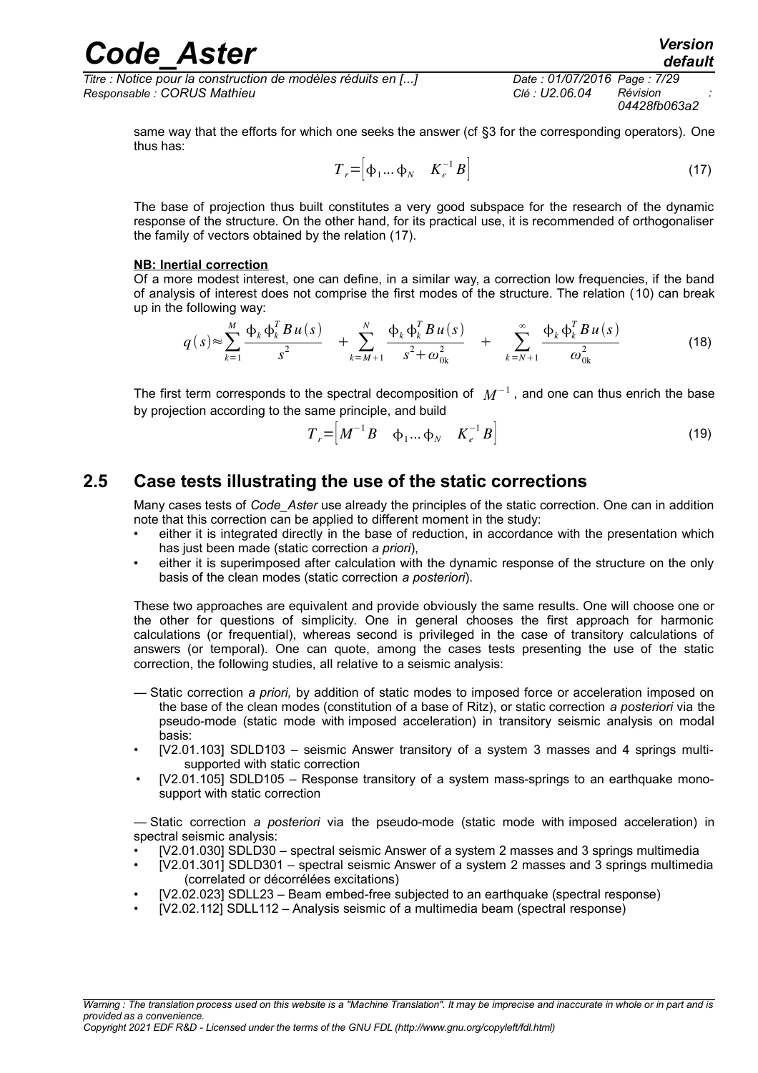*Titre : Notice pour la construction de modèles réduits en [...] Date : 01/07/2016 Page : 7/29 Responsable : CORUS Mathieu Clé : U2.06.04 Révision :*

*04428fb063a2*

<span id="page-6-0"></span>*default*

same way that the efforts for which one seeks the answer (cf §3 for the corresponding operators). One thus has:

$$
T_r = \begin{bmatrix} \phi_1 \dots \phi_N & K_e^{-1} B \end{bmatrix} \tag{17}
$$

The base of projection thus built constitutes a very good subspace for the research of the dynamic response of the structure. On the other hand, for its practical use, it is recommended of orthogonaliser the family of vectors obtained by the relation [\(17\)](#page-6-0).

#### **NB: Inertial correction**

Of a more modest interest, one can define, in a similar way, a correction low frequencies, if the band of analysis of interest does not comprise the first modes of the structure. The relation ([10\)](#page-4-1) can break up in the following way:

$$
q(s) \approx \sum_{k=1}^{M} \frac{\Phi_k \Phi_k^T B u(s)}{s^2} + \sum_{k=M+1}^{N} \frac{\Phi_k \Phi_k^T B u(s)}{s^2 + \omega_{0k}^2} + \sum_{k=N+1}^{\infty} \frac{\Phi_k \Phi_k^T B u(s)}{\omega_{0k}^2}
$$
(18)

The first term corresponds to the spectral decomposition of  $\ M^{-1}$  , and one can thus enrich the base by projection according to the same principle, and build

$$
T_r = \begin{bmatrix} M^{-1}B & \phi_1 \dots \phi_N & K_e^{-1}B \end{bmatrix}
$$
 (19)

### **2.5 Case tests illustrating the use of the static corrections**

Many cases tests of *Code\_Aster* use already the principles of the static correction. One can in addition note that this correction can be applied to different moment in the study:

- either it is integrated directly in the base of reduction, in accordance with the presentation which has just been made (static correction *a priori*),
- either it is superimposed after calculation with the dynamic response of the structure on the only basis of the clean modes (static correction *a posteriori*).

These two approaches are equivalent and provide obviously the same results. One will choose one or the other for questions of simplicity. One in general chooses the first approach for harmonic calculations (or frequential), whereas second is privileged in the case of transitory calculations of answers (or temporal). One can quote, among the cases tests presenting the use of the static correction, the following studies, all relative to a seismic analysis:

- Static correction *a priori,* by addition of static modes to imposed force or acceleration imposed on the base of the clean modes (constitution of a base of Ritz), or static correction *a posteriori* via the pseudo-mode (static mode with imposed acceleration) in transitory seismic analysis on modal basis:
- [V2.01.103] SDLD103 seismic Answer transitory of a system 3 masses and 4 springs multisupported with static correction
- [V2.01.105] SDLD105 Response transitory of a system mass-springs to an earthquake monosupport with static correction

— Static correction *a posteriori* via the pseudo-mode (static mode with imposed acceleration) in spectral seismic analysis:

- [V2.01.030] SDLD30 spectral seismic Answer of a system 2 masses and 3 springs multimedia
- [V2.01.301] SDLD301 spectral seismic Answer of a system 2 masses and 3 springs multimedia (correlated or décorrélées excitations)
- [V2.02.023] SDLL23 Beam embed-free subjected to an earthquake (spectral response)
- [V2.02.112] SDLL112 Analysis seismic of a multimedia beam (spectral response)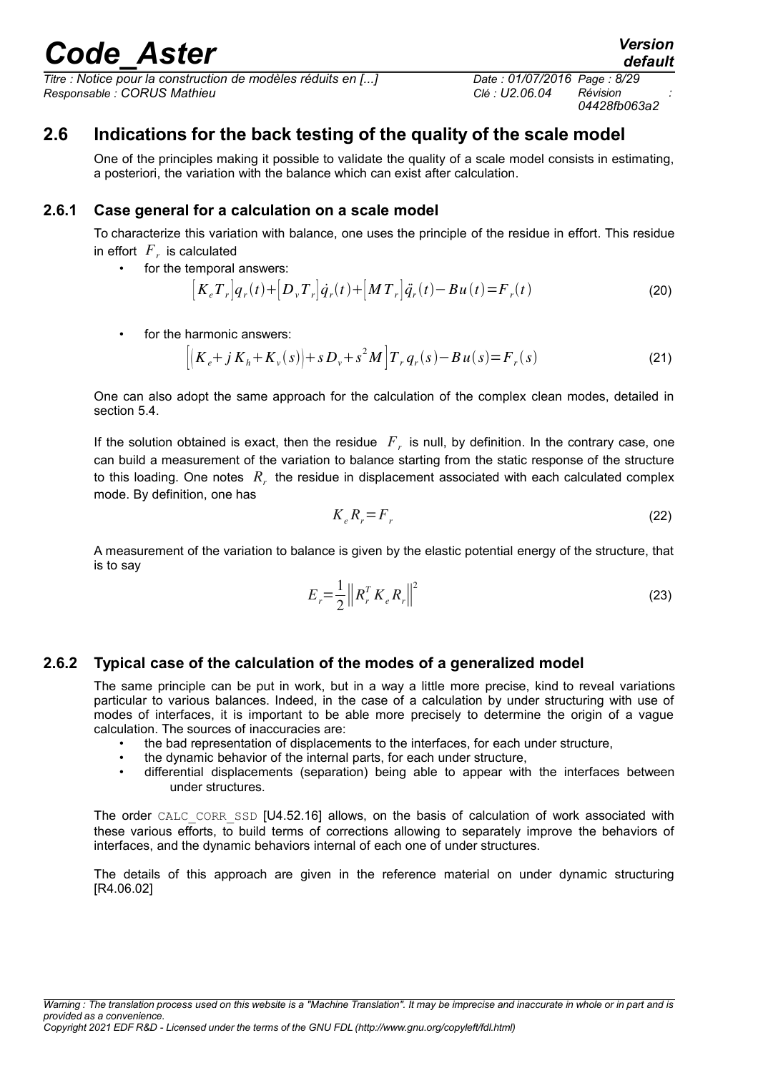*Titre : Notice pour la construction de modèles réduits en [...] Date : 01/07/2016 Page : 8/29 Responsable : CORUS Mathieu Clé : U2.06.04 Révision :*

### **2.6 Indications for the back testing of the quality of the scale model**

One of the principles making it possible to validate the quality of a scale model consists in estimating, a posteriori, the variation with the balance which can exist after calculation.

#### **2.6.1 Case general for a calculation on a scale model**

To characterize this variation with balance, one uses the principle of the residue in effort. This residue in effort  $|F_r|$  is calculated

for the temporal answers:

$$
\left[K_{e}T_{r}\right]q_{r}(t)+\left[D_{v}T_{r}\right]\dot{q}_{r}(t)+\left[MT_{r}\right]\ddot{q}_{r}(t)-Bu(t)=F_{r}(t)
$$
\n(20)

for the harmonic answers:

$$
\left[ \left( K_e + j K_h + K_v(s) \right) + s D_v + s^2 M \right] T_r q_r(s) - B u(s) = F_r(s)
$$
\n(21)

One can also adopt the same approach for the calculation of the complex clean modes, detailed in section [5.4.](#page-13-0)

If the solution obtained is exact, then the residue *F<sup>r</sup>* is null, by definition. In the contrary case, one can build a measurement of the variation to balance starting from the static response of the structure to this loading. One notes  $R_r$  the residue in displacement associated with each calculated complex mode. By definition, one has

$$
K_e R_r = F_r \tag{22}
$$

A measurement of the variation to balance is given by the elastic potential energy of the structure, that is to say

$$
E_r = \frac{1}{2} \| R_r^T K_e R_r \|^2
$$
 (23)

#### **2.6.2 Typical case of the calculation of the modes of a generalized model**

The same principle can be put in work, but in a way a little more precise, kind to reveal variations particular to various balances. Indeed, in the case of a calculation by under structuring with use of modes of interfaces, it is important to be able more precisely to determine the origin of a vague calculation. The sources of inaccuracies are:

- the bad representation of displacements to the interfaces, for each under structure,
- the dynamic behavior of the internal parts, for each under structure,
- differential displacements (separation) being able to appear with the interfaces between under structures.

The order CALC CORR SSD [U4.52.16] allows, on the basis of calculation of work associated with these various efforts, to build terms of corrections allowing to separately improve the behaviors of interfaces, and the dynamic behaviors internal of each one of under structures.

The details of this approach are given in the reference material on under dynamic structuring [R4.06.02]

*default*

*04428fb063a2*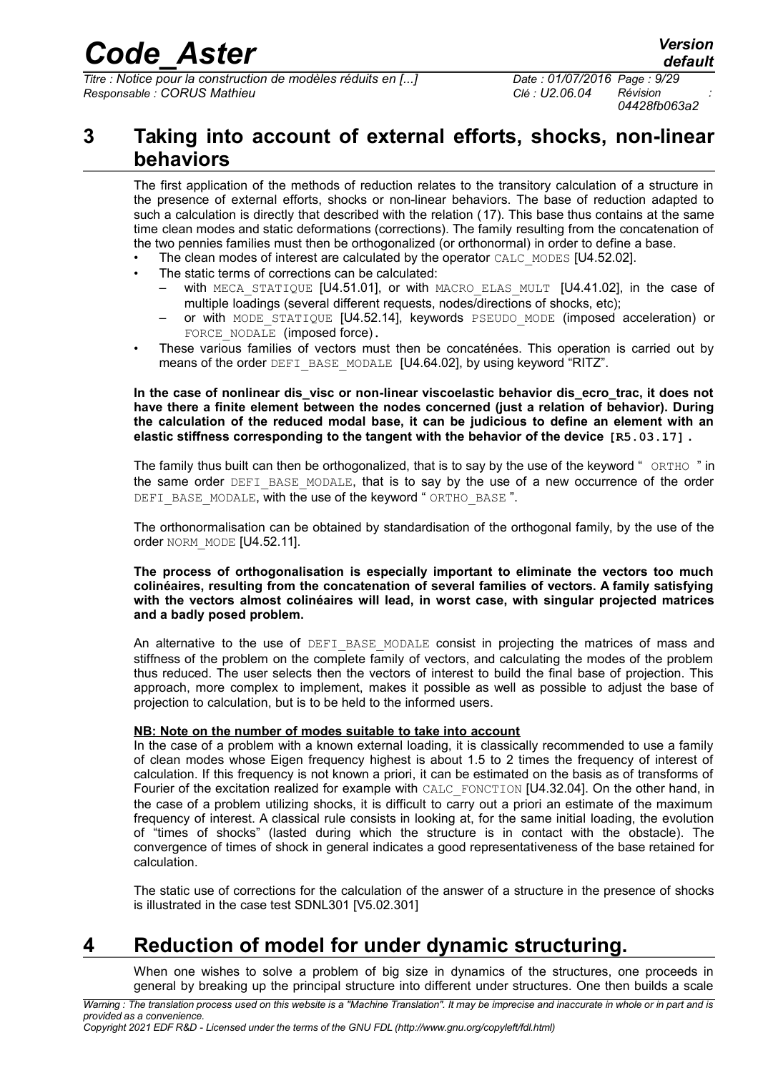*Titre : Notice pour la construction de modèles réduits en [...] Date : 01/07/2016 Page : 9/29 Responsable : CORUS Mathieu Clé : U2.06.04 Révision :*

*04428fb063a2*

### **3 Taking into account of external efforts, shocks, non-linear behaviors**

The first application of the methods of reduction relates to the transitory calculation of a structure in the presence of external efforts, shocks or non-linear behaviors. The base of reduction adapted to such a calculation is directly that described with the relation ([17\)](#page-6-0). This base thus contains at the same time clean modes and static deformations (corrections). The family resulting from the concatenation of the two pennies families must then be orthogonalized (or orthonormal) in order to define a base.

- The clean modes of interest are calculated by the operator CALC\_MODES [U4.52.02].
- The static terms of corrections can be calculated:
	- with MECA STATIQUE  $[U4.51.01]$ , or with MACRO ELAS MULT  $[U4.41.02]$ , in the case of multiple loadings (several different requests, nodes/directions of shocks, etc);
	- or with MODE STATIQUE [U4.52.14], keywords PSEUDO MODE (imposed acceleration) or FORCE NODALE (imposed force).
- These various families of vectors must then be concaténées. This operation is carried out by means of the order DEFI\_BASE\_MODALE [U4.64.02], by using keyword "RITZ".

**In the case of nonlinear dis\_visc or non-linear viscoelastic behavior dis\_ecro\_trac, it does not have there a finite element between the nodes concerned (just a relation of behavior). During the calculation of the reduced modal base, it can be judicious to define an element with an elastic stiffness corresponding to the tangent with the behavior of the device [R5.03.17] .**

The family thus built can then be orthogonalized, that is to say by the use of the keyword " ORTHO " in the same order DEFI\_BASE\_MODALE, that is to say by the use of a new occurrence of the order DEFI\_BASE\_MODALE, with the use of the keyword " ORTHO\_BASE".

The orthonormalisation can be obtained by standardisation of the orthogonal family, by the use of the order NORM MODE [U4.52.11].

#### **The process of orthogonalisation is especially important to eliminate the vectors too much colinéaires, resulting from the concatenation of several families of vectors. A family satisfying with the vectors almost colinéaires will lead, in worst case, with singular projected matrices and a badly posed problem.**

An alternative to the use of DEFI\_BASE\_MODALE consist in projecting the matrices of mass and stiffness of the problem on the complete family of vectors, and calculating the modes of the problem thus reduced. The user selects then the vectors of interest to build the final base of projection. This approach, more complex to implement, makes it possible as well as possible to adjust the base of projection to calculation, but is to be held to the informed users.

#### **NB: Note on the number of modes suitable to take into account**

In the case of a problem with a known external loading, it is classically recommended to use a family of clean modes whose Eigen frequency highest is about 1.5 to 2 times the frequency of interest of calculation. If this frequency is not known a priori, it can be estimated on the basis as of transforms of Fourier of the excitation realized for example with CALC\_FONCTION [U4.32.04]. On the other hand, in the case of a problem utilizing shocks, it is difficult to carry out a priori an estimate of the maximum frequency of interest. A classical rule consists in looking at, for the same initial loading, the evolution of "times of shocks" (lasted during which the structure is in contact with the obstacle). The convergence of times of shock in general indicates a good representativeness of the base retained for calculation.

The static use of corrections for the calculation of the answer of a structure in the presence of shocks is illustrated in the case test SDNL301 [V5.02.301]

## **4 Reduction of model for under dynamic structuring.**

When one wishes to solve a problem of big size in dynamics of the structures, one proceeds in general by breaking up the principal structure into different under structures. One then builds a scale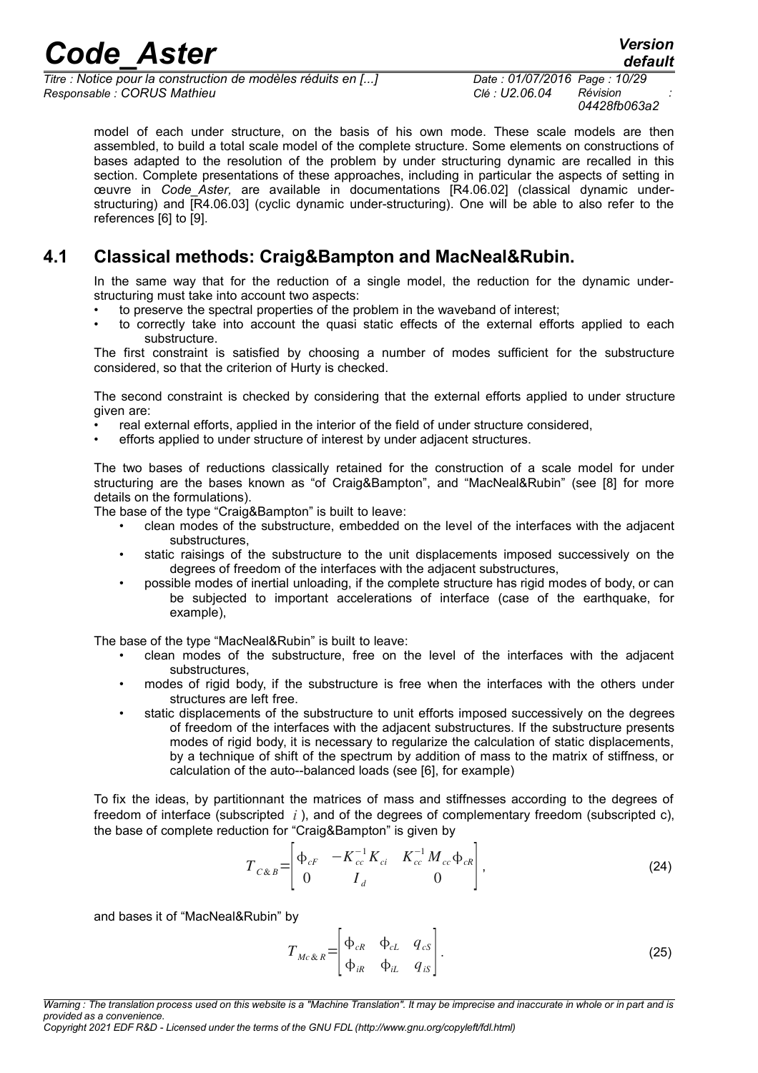*Titre : Notice pour la construction de modèles réduits en [...] Date : 01/07/2016 Page : 10/29 Responsable : CORUS Mathieu Clé : U2.06.04 Révision :*

*04428fb063a2*

model of each under structure, on the basis of his own mode. These scale models are then assembled, to build a total scale model of the complete structure. Some elements on constructions of bases adapted to the resolution of the problem by under structuring dynamic are recalled in this section. Complete presentations of these approaches, including in particular the aspects of setting in œuvre in *Code\_Aster,* are available in documentations [R4.06.02] (classical dynamic understructuring) and [R4.06.03] (cyclic dynamic under-structuring). One will be able to also refer to the references [6] to [9].

### **4.1 Classical methods: Craig&Bampton and MacNeal&Rubin.**

In the same way that for the reduction of a single model, the reduction for the dynamic understructuring must take into account two aspects:

- to preserve the spectral properties of the problem in the waveband of interest;
- to correctly take into account the quasi static effects of the external efforts applied to each substructure.

The first constraint is satisfied by choosing a number of modes sufficient for the substructure considered, so that the criterion of Hurty is checked.

The second constraint is checked by considering that the external efforts applied to under structure given are:

- real external efforts, applied in the interior of the field of under structure considered,
- efforts applied to under structure of interest by under adjacent structures.

The two bases of reductions classically retained for the construction of a scale model for under structuring are the bases known as "of Craig&Bampton", and "MacNeal&Rubin" (see [8] for more details on the formulations).

The base of the type "Craig&Bampton" is built to leave:

- clean modes of the substructure, embedded on the level of the interfaces with the adjacent substructures,
- static raisings of the substructure to the unit displacements imposed successively on the degrees of freedom of the interfaces with the adjacent substructures,
- possible modes of inertial unloading, if the complete structure has rigid modes of body, or can be subjected to important accelerations of interface (case of the earthquake, for example),

The base of the type "MacNeal&Rubin" is built to leave:

- clean modes of the substructure, free on the level of the interfaces with the adjacent substructures,
- modes of rigid body, if the substructure is free when the interfaces with the others under structures are left free.
- static displacements of the substructure to unit efforts imposed successively on the degrees of freedom of the interfaces with the adjacent substructures. If the substructure presents modes of rigid body, it is necessary to regularize the calculation of static displacements, by a technique of shift of the spectrum by addition of mass to the matrix of stiffness, or calculation of the auto--balanced loads (see [6], for example)

To fix the ideas, by partitionnant the matrices of mass and stiffnesses according to the degrees of freedom of interface (subscripted *i* ), and of the degrees of complementary freedom (subscripted c), the base of complete reduction for "Craig&Bampton" is given by

$$
T_{C\&B} = \begin{bmatrix} \Phi_{cF} & -K_{cc}^{-1}K_{ci} & K_{cc}^{-1}M_{cc}\Phi_{cR} \\ 0 & I_d & 0 \end{bmatrix},
$$
 (24)

and bases it of "MacNeal&Rubin" by

$$
T_{Mc\&R} = \begin{bmatrix} \Phi_{cR} & \Phi_{cL} & q_{cs} \\ \Phi_{iR} & \Phi_{iL} & q_{is} \end{bmatrix}.
$$
 (25)

*Copyright 2021 EDF R&D - Licensed under the terms of the GNU FDL (http://www.gnu.org/copyleft/fdl.html)*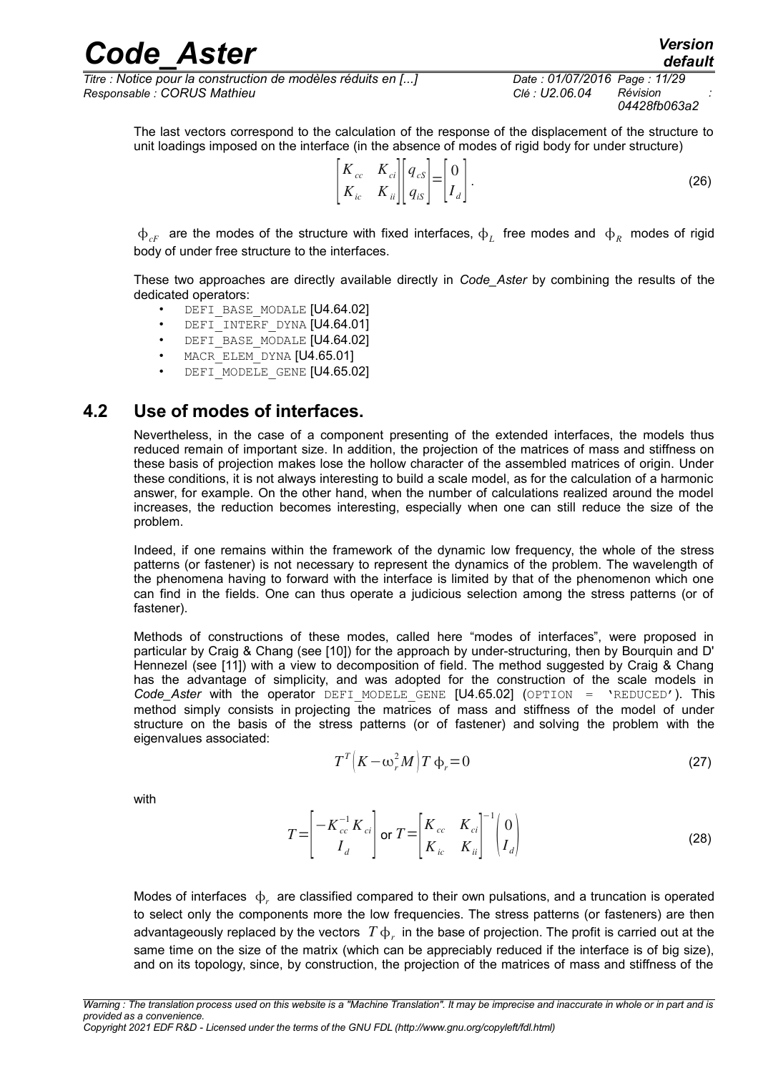*Titre : Notice pour la construction de modèles réduits en [...] Date : 01/07/2016 Page : 11/29 Responsable : CORUS Mathieu Clé : U2.06.04 Révision :*

*04428fb063a2*

The last vectors correspond to the calculation of the response of the displacement of the structure to unit loadings imposed on the interface (in the absence of modes of rigid body for under structure)

$$
\begin{bmatrix} K_{cc} & K_{ci} \\ K_{ic} & K_{ii} \end{bmatrix} \begin{bmatrix} q_{cs} \\ q_{is} \end{bmatrix} = \begin{bmatrix} 0 \\ I_d \end{bmatrix}.
$$
 (26)

 $\Phi_{cF}$  are the modes of the structure with fixed interfaces,  $\Phi_L$  free modes and  $\Phi_R$  modes of rigid body of under free structure to the interfaces.

These two approaches are directly available directly in *Code\_Aster* by combining the results of the dedicated operators:

- DEFI BASE MODALE [U4.64.02]
- DEFI INTERF DYNA [U4.64.01]
- DEFI\_BASE\_MODALE [U4.64.02]
- MACR ELEM DYNA [U4.65.01]
- DEFI\_MODELE\_GENE [U4.65.02]

### **4.2 Use of modes of interfaces.**

Nevertheless, in the case of a component presenting of the extended interfaces, the models thus reduced remain of important size. In addition, the projection of the matrices of mass and stiffness on these basis of projection makes lose the hollow character of the assembled matrices of origin. Under these conditions, it is not always interesting to build a scale model, as for the calculation of a harmonic answer, for example. On the other hand, when the number of calculations realized around the model increases, the reduction becomes interesting, especially when one can still reduce the size of the problem.

Indeed, if one remains within the framework of the dynamic low frequency, the whole of the stress patterns (or fastener) is not necessary to represent the dynamics of the problem. The wavelength of the phenomena having to forward with the interface is limited by that of the phenomenon which one can find in the fields. One can thus operate a judicious selection among the stress patterns (or of fastener).

Methods of constructions of these modes, called here "modes of interfaces", were proposed in particular by Craig & Chang (see [10]) for the approach by under-structuring, then by Bourquin and D' Hennezel (see [11]) with a view to decomposition of field. The method suggested by Craig & Chang has the advantage of simplicity, and was adopted for the construction of the scale models in *Code\_Aster* with the operator DEFI\_MODELE\_GENE [U4.65.02] (OPTION = 'REDUCED'). This method simply consists in projecting the matrices of mass and stiffness of the model of under structure on the basis of the stress patterns (or of fastener) and solving the problem with the eigenvalues associated:

$$
T^T\left(K - \omega_r^2 M\right)T\,\Phi_r = 0\tag{27}
$$

with

$$
T = \begin{bmatrix} -K_{cc}^{-1} K_{ci} \\ I_d \end{bmatrix} \text{ or } T = \begin{bmatrix} K_{cc} & K_{ci} \\ K_{ic} & K_{ii} \end{bmatrix}^{-1} \begin{bmatrix} 0 \\ I_d \end{bmatrix}
$$
 (28)

Modes of interfaces  $\phi_r$  are classified compared to their own pulsations, and a truncation is operated to select only the components more the low frequencies. The stress patterns (or fasteners) are then advantageously replaced by the vectors  $\,T\,\varphi_{_r}\,$  in the base of projection. The profit is carried out at the same time on the size of the matrix (which can be appreciably reduced if the interface is of big size), and on its topology, since, by construction, the projection of the matrices of mass and stiffness of the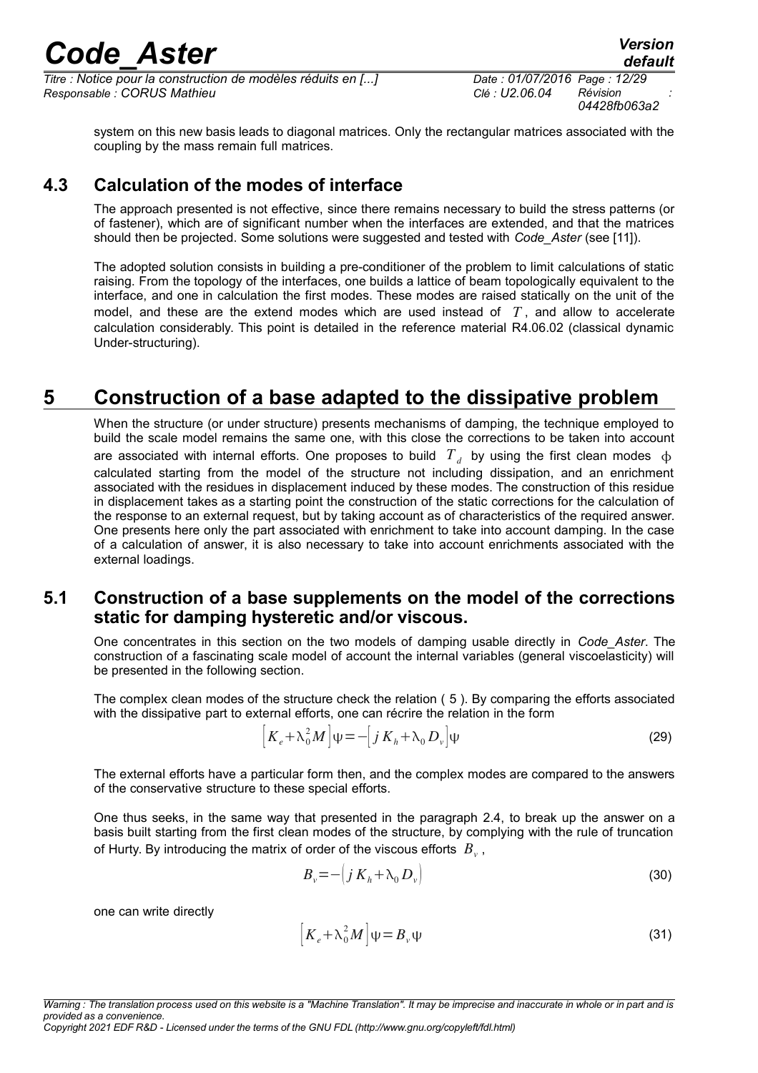*Titre : Notice pour la construction de modèles réduits en [...] Date : 01/07/2016 Page : 12/29 Responsable : CORUS Mathieu Clé : U2.06.04 Révision :*

*04428fb063a2*

system on this new basis leads to diagonal matrices. Only the rectangular matrices associated with the coupling by the mass remain full matrices.

### **4.3 Calculation of the modes of interface**

The approach presented is not effective, since there remains necessary to build the stress patterns (or of fastener), which are of significant number when the interfaces are extended, and that the matrices should then be projected. Some solutions were suggested and tested with *Code\_Aster* (see [11]).

The adopted solution consists in building a pre-conditioner of the problem to limit calculations of static raising. From the topology of the interfaces, one builds a lattice of beam topologically equivalent to the interface, and one in calculation the first modes. These modes are raised statically on the unit of the model, and these are the extend modes which are used instead of *T* , and allow to accelerate calculation considerably. This point is detailed in the reference material R4.06.02 (classical dynamic Under-structuring).

## **5 Construction of a base adapted to the dissipative problem**

When the structure (or under structure) presents mechanisms of damping, the technique employed to build the scale model remains the same one, with this close the corrections to be taken into account are associated with internal efforts. One proposes to build  $T_d$  by using the first clean modes  $\,\varphi\,$ calculated starting from the model of the structure not including dissipation, and an enrichment associated with the residues in displacement induced by these modes. The construction of this residue in displacement takes as a starting point the construction of the static corrections for the calculation of the response to an external request, but by taking account as of characteristics of the required answer. One presents here only the part associated with enrichment to take into account damping. In the case of a calculation of answer, it is also necessary to take into account enrichments associated with the external loadings.

### **5.1 Construction of a base supplements on the model of the corrections static for damping hysteretic and/or viscous.**

One concentrates in this section on the two models of damping usable directly in *Code\_Aster*. The construction of a fascinating scale model of account the internal variables (general viscoelasticity) will be presented in the following section.

The complex clean modes of the structure check the relation ( [5](#page-3-2) ). By comparing the efforts associated with the dissipative part to external efforts, one can récrire the relation in the form

$$
\left[K_e + \lambda_0^2 M\right]\psi = -\left[j\ K_h + \lambda_0 D_v\right]\psi\tag{29}
$$

The external efforts have a particular form then, and the complex modes are compared to the answers of the conservative structure to these special efforts.

One thus seeks, in the same way that presented in the paragraph [2.4,](#page-4-2) to break up the answer on a basis built starting from the first clean modes of the structure, by complying with the rule of truncation of Hurty. By introducing the matrix of order of the viscous efforts  $\left|B_{\nu}\right\rangle$  ,

$$
B_v = -\left(j\,K_h + \lambda_0\,D_v\right) \tag{30}
$$

one can write directly

$$
\left[K_e + \lambda_0^2 M\right]\psi = B_v \psi \tag{31}
$$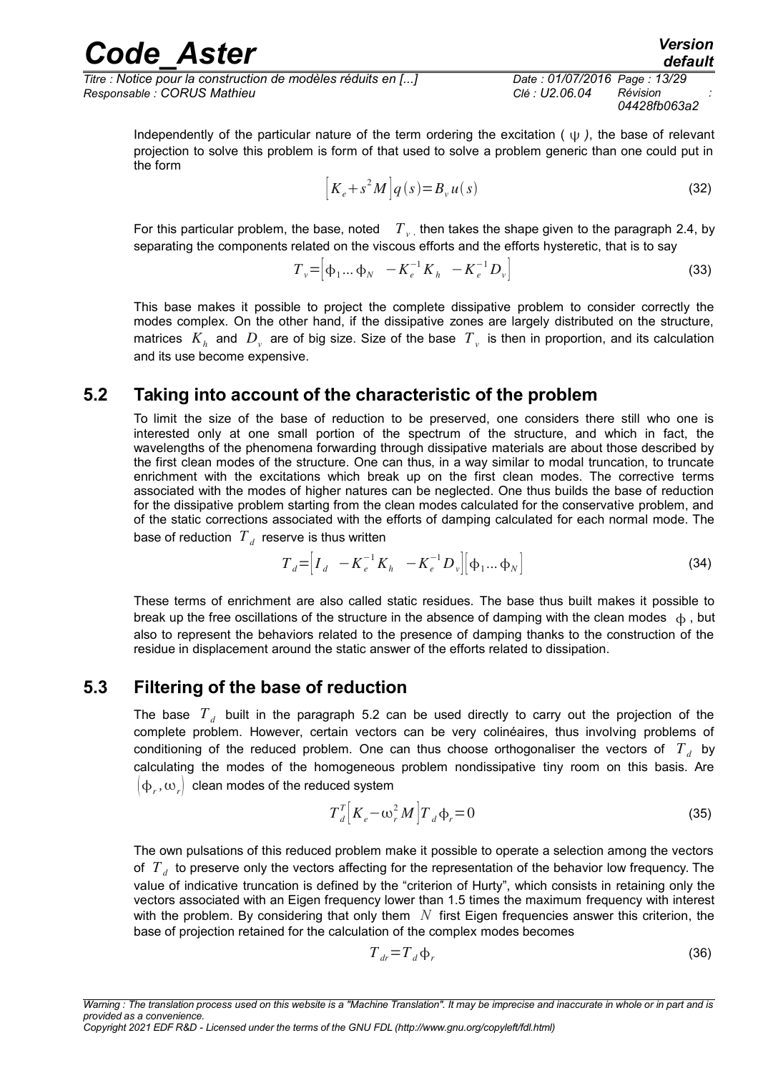#### *Code\_Aster Version default Titre : Notice pour la construction de modèles réduits en [...] Date : 01/07/2016 Page : 13/29*

*Responsable : CORUS Mathieu Clé : U2.06.04 Révision :*

<span id="page-12-1"></span>*04428fb063a2*

Independently of the particular nature of the term ordering the excitation ( $\psi$ ), the base of relevant projection to solve this problem is form of that used to solve a problem generic than one could put in the form

$$
\left[K_e + s^2 M\right]q(s) = B_v u(s)
$$
\n(32)

For this particular problem, the base, noted  $\|T\|_v$ , then takes the shape given to the paragraph [2.4,](#page-4-2) by separating the components related on the viscous efforts and the efforts hysteretic, that is to say

$$
T_{\nu} = \left[ \phi_1 \dots \phi_N \quad -K_e^{-1} K_h \quad -K_e^{-1} D_{\nu} \right]
$$
 (33)

This base makes it possible to project the complete dissipative problem to consider correctly the modes complex. On the other hand, if the dissipative zones are largely distributed on the structure, matrices  $|K_h|$  and  $|D_v|$  are of big size. Size of the base  $|T_v|$  is then in proportion, and its calculation and its use become expensive.

### **5.2 Taking into account of the characteristic of the problem**

<span id="page-12-0"></span>To limit the size of the base of reduction to be preserved, one considers there still who one is interested only at one small portion of the spectrum of the structure, and which in fact, the wavelengths of the phenomena forwarding through dissipative materials are about those described by the first clean modes of the structure. One can thus, in a way similar to modal truncation, to truncate enrichment with the excitations which break up on the first clean modes. The corrective terms associated with the modes of higher natures can be neglected. One thus builds the base of reduction for the dissipative problem starting from the clean modes calculated for the conservative problem, and of the static corrections associated with the efforts of damping calculated for each normal mode. The base of reduction  $\left. T_{\textit{d}}\right.$  reserve is thus written

$$
T_d = \left[ I_d - K_e^{-1} K_h - K_e^{-1} D_v \right] \left[ \phi_1 ... \phi_N \right]
$$
 (34)

These terms of enrichment are also called static residues. The base thus built makes it possible to break up the free oscillations of the structure in the absence of damping with the clean modes  $\phi$ , but also to represent the behaviors related to the presence of damping thanks to the construction of the residue in displacement around the static answer of the efforts related to dissipation.

### **5.3 Filtering of the base of reduction**

The base  $T_d$  built in the paragraph [5.2](#page-12-0) can be used directly to carry out the projection of the complete problem. However, certain vectors can be very colinéaires, thus involving problems of conditioning of the reduced problem. One can thus choose orthogonaliser the vectors of  $T_{d}$  by calculating the modes of the homogeneous problem nondissipative tiny room on this basis. Are  $\left(\mathsf{\Phi}_r,\mathsf{\omega}_r\right)$  clean modes of the reduced system

$$
T_d^T \left[ K_e - \omega_r^2 M \right] T_d \Phi_r = 0 \tag{35}
$$

The own pulsations of this reduced problem make it possible to operate a selection among the vectors of  $T$ <sub>d</sub> to preserve only the vectors affecting for the representation of the behavior low frequency. The value of indicative truncation is defined by the "criterion of Hurty", which consists in retaining only the vectors associated with an Eigen frequency lower than 1.5 times the maximum frequency with interest with the problem. By considering that only them *N* first Eigen frequencies answer this criterion, the base of projection retained for the calculation of the complex modes becomes

$$
T_{dr} = T_d \Phi_r \tag{36}
$$

*Copyright 2021 EDF R&D - Licensed under the terms of the GNU FDL (http://www.gnu.org/copyleft/fdl.html)*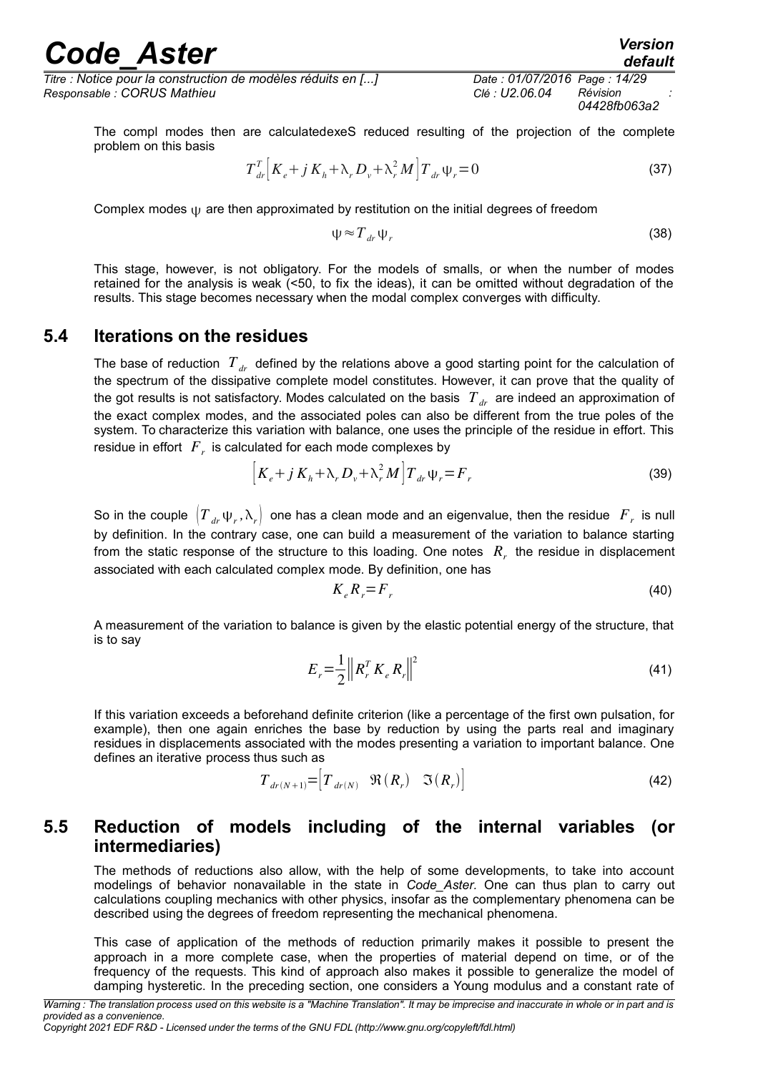*Titre : Notice pour la construction de modèles réduits en [...] Date : 01/07/2016 Page : 14/29 Responsable : CORUS Mathieu Clé : U2.06.04 Révision :*

*04428fb063a2*

*default*

The compl modes then are calculatedexeS reduced resulting of the projection of the complete problem on this basis

$$
T_{dr}^{T} \left[ K_{e} + j K_{h} + \lambda_{r} D_{v} + \lambda_{r}^{2} M \right] T_{dr} \Psi_{r} = 0
$$
\n(37)

Complex modes  $\psi$  are then approximated by restitution on the initial degrees of freedom

$$
\psi \approx T_{dr}\psi_r \tag{38}
$$

This stage, however, is not obligatory. For the models of smalls, or when the number of modes retained for the analysis is weak (<50, to fix the ideas), it can be omitted without degradation of the results. This stage becomes necessary when the modal complex converges with difficulty.

#### **5.4 Iterations on the residues**

<span id="page-13-0"></span>The base of reduction  $T_{dr}$  defined by the relations above a good starting point for the calculation of the spectrum of the dissipative complete model constitutes. However, it can prove that the quality of the got results is not satisfactory. Modes calculated on the basis  $T_{dr}$  are indeed an approximation of the exact complex modes, and the associated poles can also be different from the true poles of the system. To characterize this variation with balance, one uses the principle of the residue in effort. This residue in effort  $\left|F\right\rangle$  is calculated for each mode complexes by

$$
\left[K_e + j K_h + \lambda_r D_v + \lambda_r^2 M\right] T_{dr} \Psi_r = F_r \tag{39}
$$

So in the couple  $\left(T_{\mu r} \psi_r, \lambda_r\right)$  one has a clean mode and an eigenvalue, then the residue  $\left.F_r$  is null by definition. In the contrary case, one can build a measurement of the variation to balance starting from the static response of the structure to this loading. One notes  $R<sub>r</sub>$  the residue in displacement associated with each calculated complex mode. By definition, one has

$$
K_e R_r = F_r \tag{40}
$$

A measurement of the variation to balance is given by the elastic potential energy of the structure, that is to say

$$
E_r = \frac{1}{2} \left\| R_r^T K_e R_r \right\|^2 \tag{41}
$$

If this variation exceeds a beforehand definite criterion (like a percentage of the first own pulsation, for example), then one again enriches the base by reduction by using the parts real and imaginary residues in displacements associated with the modes presenting a variation to important balance. One defines an iterative process thus such as

$$
T_{dr(N+1)} = \begin{bmatrix} T_{dr(N)} & \Re(R_r) & \Im(R_r) \end{bmatrix}
$$
 (42)

### **5.5 Reduction of models including of the internal variables (or intermediaries)**

The methods of reductions also allow, with the help of some developments, to take into account modelings of behavior nonavailable in the state in *Code\_Aster.* One can thus plan to carry out calculations coupling mechanics with other physics, insofar as the complementary phenomena can be described using the degrees of freedom representing the mechanical phenomena.

This case of application of the methods of reduction primarily makes it possible to present the approach in a more complete case, when the properties of material depend on time, or of the frequency of the requests. This kind of approach also makes it possible to generalize the model of damping hysteretic. In the preceding section, one considers a Young modulus and a constant rate of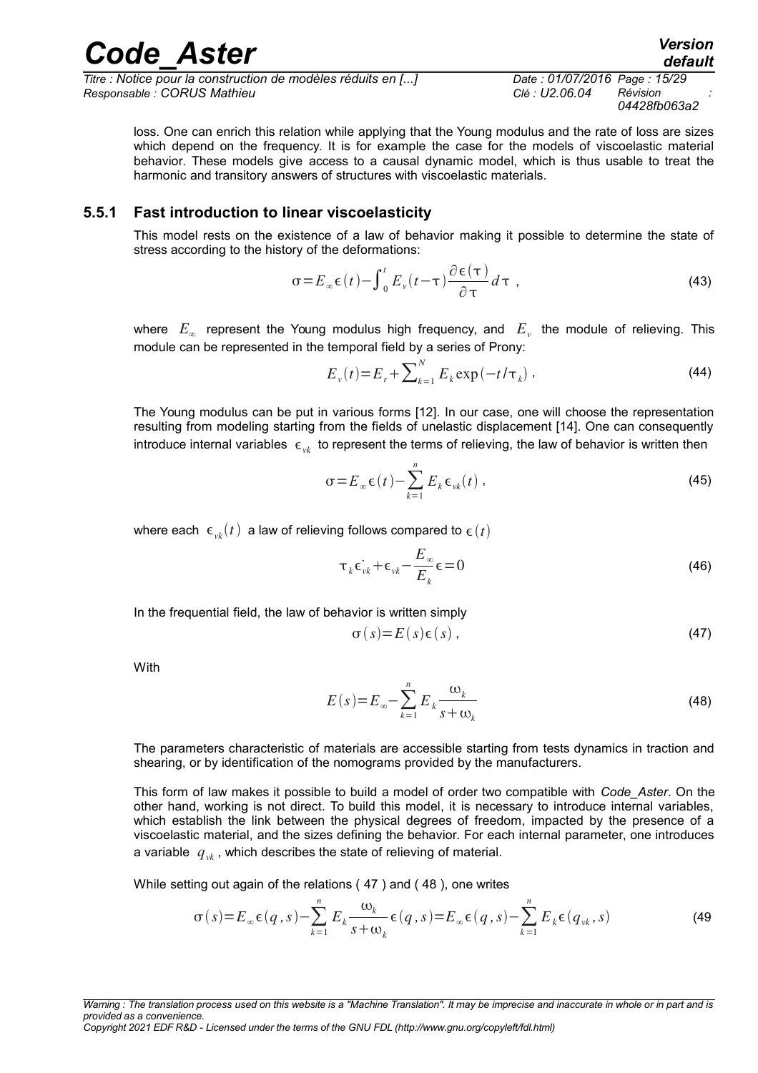*Titre : Notice pour la construction de modèles réduits en [...] Date : 01/07/2016 Page : 15/29 Responsable : CORUS Mathieu Clé : U2.06.04 Révision :*

*04428fb063a2*

*default*

loss. One can enrich this relation while applying that the Young modulus and the rate of loss are sizes which depend on the frequency. It is for example the case for the models of viscoelastic material behavior. These models give access to a causal dynamic model, which is thus usable to treat the harmonic and transitory answers of structures with viscoelastic materials.

*Code\_Aster Version*

#### **5.5.1 Fast introduction to linear viscoelasticity**

This model rests on the existence of a law of behavior making it possible to determine the state of stress according to the history of the deformations:

$$
\sigma = E_{\infty} \epsilon(t) - \int_0^t E_{\nu}(t - \tau) \frac{\partial \epsilon(\tau)}{\partial \tau} d\tau , \qquad (43)
$$

where  $E_{\infty}$  represent the Young modulus high frequency, and  $E_{\nu}$  the module of relieving. This module can be represented in the temporal field by a series of Prony:

$$
E_{\nu}(t) = E_r + \sum_{k=1}^{N} E_k \exp(-t/\tau_k) \tag{44}
$$

The Young modulus can be put in various forms [12]. In our case, one will choose the representation resulting from modeling starting from the fields of unelastic displacement [14]. One can consequently introduce internal variables  $\epsilon_{w}$  to represent the terms of relieving, the law of behavior is written then

$$
\sigma = E_{\infty} \epsilon(t) - \sum_{k=1}^{n} E_k \epsilon_{\nu k}(t) , \qquad (45)
$$

where each  $\epsilon_{\nu k}(t)$  a law of relieving follows compared to  $\epsilon(t)$ 

$$
\tau_k \varepsilon_{vk}^+ + \varepsilon_{vk}^- - \frac{E_\infty}{E_k} \varepsilon = 0 \tag{46}
$$

In the frequential field, the law of behavior is written simply

<span id="page-14-1"></span><span id="page-14-0"></span>
$$
\sigma(s) = E(s)\epsilon(s) \tag{47}
$$

With

$$
E(s) = E_{\infty} - \sum_{k=1}^{n} E_k \frac{\omega_k}{s + \omega_k}
$$
\n(48)

The parameters characteristic of materials are accessible starting from tests dynamics in traction and shearing, or by identification of the nomograms provided by the manufacturers.

This form of law makes it possible to build a model of order two compatible with *Code\_Aster*. On the other hand, working is not direct. To build this model, it is necessary to introduce internal variables, which establish the link between the physical degrees of freedom, impacted by the presence of a viscoelastic material, and the sizes defining the behavior. For each internal parameter, one introduces a variable  $q_{\nu k}$ , which describes the state of relieving of material.

While setting out again of the relations ( [47](#page-14-1) ) and ( [48](#page-14-0) ), one writes

$$
\sigma(s) = E_{\infty} \epsilon(q, s) - \sum_{k=1}^{n} E_k \frac{\omega_k}{s + \omega_k} \epsilon(q, s) = E_{\infty} \epsilon(q, s) - \sum_{k=1}^{n} E_k \epsilon(q_{vk}, s)
$$
\n(49)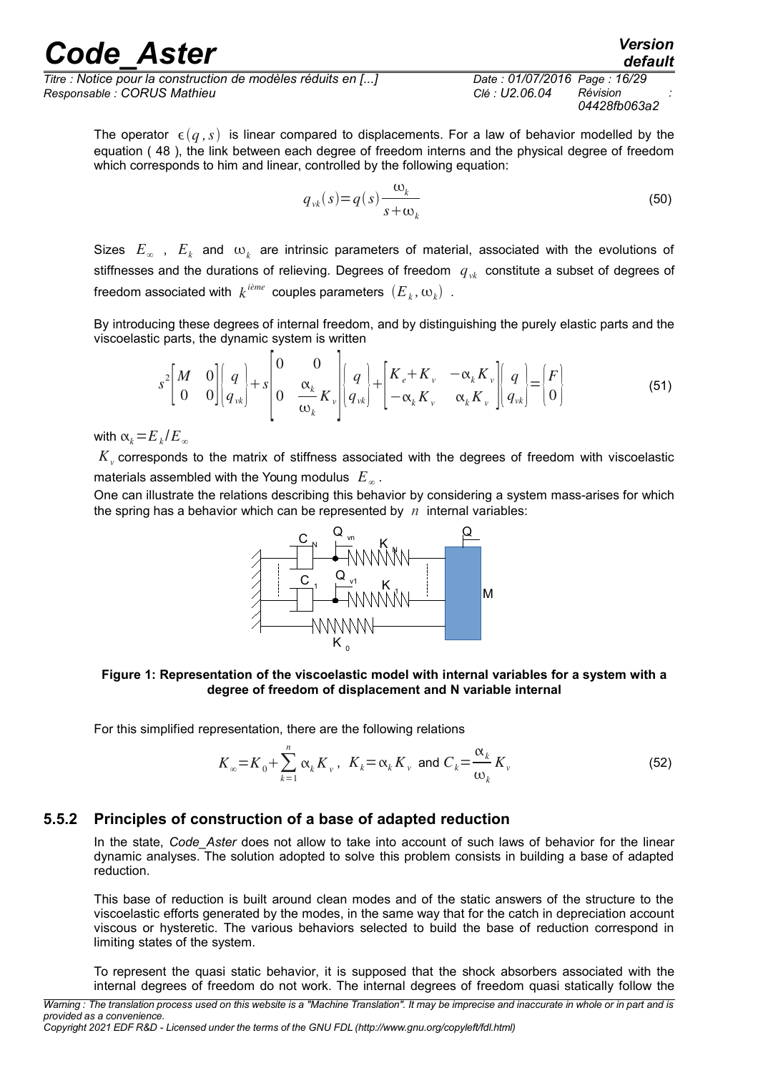*Titre : Notice pour la construction de modèles réduits en [...] Date : 01/07/2016 Page : 16/29 Responsable : CORUS Mathieu Clé : U2.06.04 Révision :*

*04428fb063a2*

*default*

The operator  $\epsilon(q, s)$  is linear compared to displacements. For a law of behavior modelled by the equation ( [48](#page-14-0) ), the link between each degree of freedom interns and the physical degree of freedom which corresponds to him and linear, controlled by the following equation:

$$
q_{\nu k}(s) = q(s) \frac{\omega_k}{s + \omega_k} \tag{50}
$$

Sizes  $E_\infty$  ,  $E_k$  and  $\omega_k$  are intrinsic parameters of material, associated with the evolutions of stiffnesses and the durations of relieving. Degrees of freedom *qvk* constitute a subset of degrees of freedom associated with  $\,k^{\,i\hat{e}me} \,$  couples parameters  $\,(E_{\,k},\omega_{k}) \,$  .

By introducing these degrees of internal freedom, and by distinguishing the purely elastic parts and the viscoelastic parts, the dynamic system is written

$$
s^{2}\left[M\begin{array}{cc}0\\0&0\end{array}\right]\left[q\atop q_{\nu k}\right]+s\left[0\begin{array}{cc}0\\0&\frac{\alpha_{k}}{\omega_{k}}K_{\nu}\end{array}\right]\left[q\atop q_{\nu k}\right]+\left[K_{e}+K_{\nu}-\alpha_{k}K_{\nu}\atop -\alpha_{k}K_{\nu}\alpha_{k}K_{\nu}\right]\left[q\atop q_{\nu k}\right]=\left[F\atop 0\right]
$$
\n(51)

with  $\alpha_k = E_k/E_\infty$ 

 $K_{\scriptscriptstyle\rm v}$  corresponds to the matrix of stiffness associated with the degrees of freedom with viscoelastic materials assembled with the Young modulus  $|E_{\infty}|$ .

One can illustrate the relations describing this behavior by considering a system mass-arises for which the spring has a behavior which can be represented by  $n$  internal variables:



#### **Figure 1: Representation of the viscoelastic model with internal variables for a system with a degree of freedom of displacement and N variable internal**

For this simplified representation, there are the following relations

$$
K_{\infty} = K_0 + \sum_{k=1}^{n} \alpha_k K_{\nu}, \quad K_k = \alpha_k K_{\nu} \text{ and } C_k = \frac{\alpha_k}{\omega_k} K_{\nu}
$$
 (52)

#### **5.5.2 Principles of construction of a base of adapted reduction**

In the state, *Code\_Aster* does not allow to take into account of such laws of behavior for the linear dynamic analyses. The solution adopted to solve this problem consists in building a base of adapted reduction.

This base of reduction is built around clean modes and of the static answers of the structure to the viscoelastic efforts generated by the modes, in the same way that for the catch in depreciation account viscous or hysteretic. The various behaviors selected to build the base of reduction correspond in limiting states of the system.

To represent the quasi static behavior, it is supposed that the shock absorbers associated with the internal degrees of freedom do not work. The internal degrees of freedom quasi statically follow the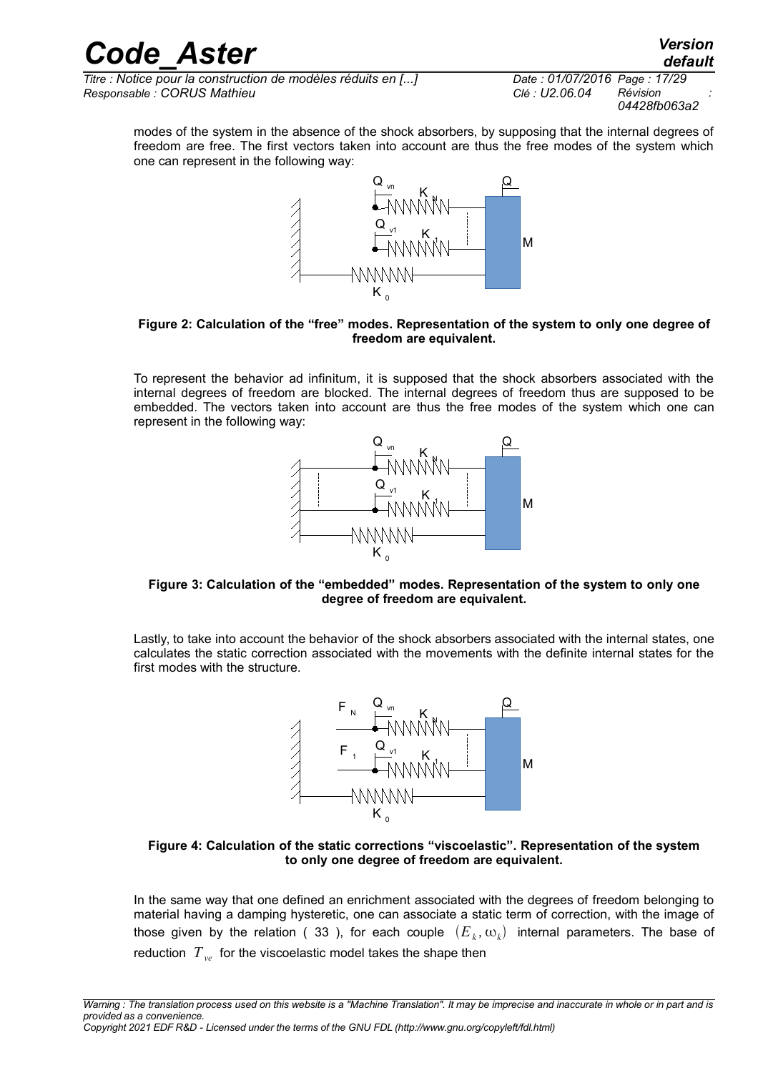*default*

*Titre : Notice pour la construction de modèles réduits en [...] Date : 01/07/2016 Page : 17/29 Responsable : CORUS Mathieu Clé : U2.06.04 Révision :*

*04428fb063a2*

modes of the system in the absence of the shock absorbers, by supposing that the internal degrees of freedom are free. The first vectors taken into account are thus the free modes of the system which one can represent in the following way:



#### <span id="page-16-0"></span>**Figure 2: Calculation of the "free" modes. Representation of the system to only one degree of freedom are equivalent.**

To represent the behavior ad infinitum, it is supposed that the shock absorbers associated with the internal degrees of freedom are blocked. The internal degrees of freedom thus are supposed to be embedded. The vectors taken into account are thus the free modes of the system which one can represent in the following way:



#### **Figure 3: Calculation of the "embedded" modes. Representation of the system to only one degree of freedom are equivalent.**

Lastly, to take into account the behavior of the shock absorbers associated with the internal states, one calculates the static correction associated with the movements with the definite internal states for the first modes with the structure.



#### **Figure 4: Calculation of the static corrections "viscoelastic". Representation of the system to only one degree of freedom are equivalent.**

In the same way that one defined an enrichment associated with the degrees of freedom belonging to material having a damping hysteretic, one can associate a static term of correction, with the image of those given by the relation ( [33](#page-12-1) ), for each couple  $(E_{k}, \omega_{k})$  internal parameters. The base of reduction  $T_{\nu e}$  for the viscoelastic model takes the shape then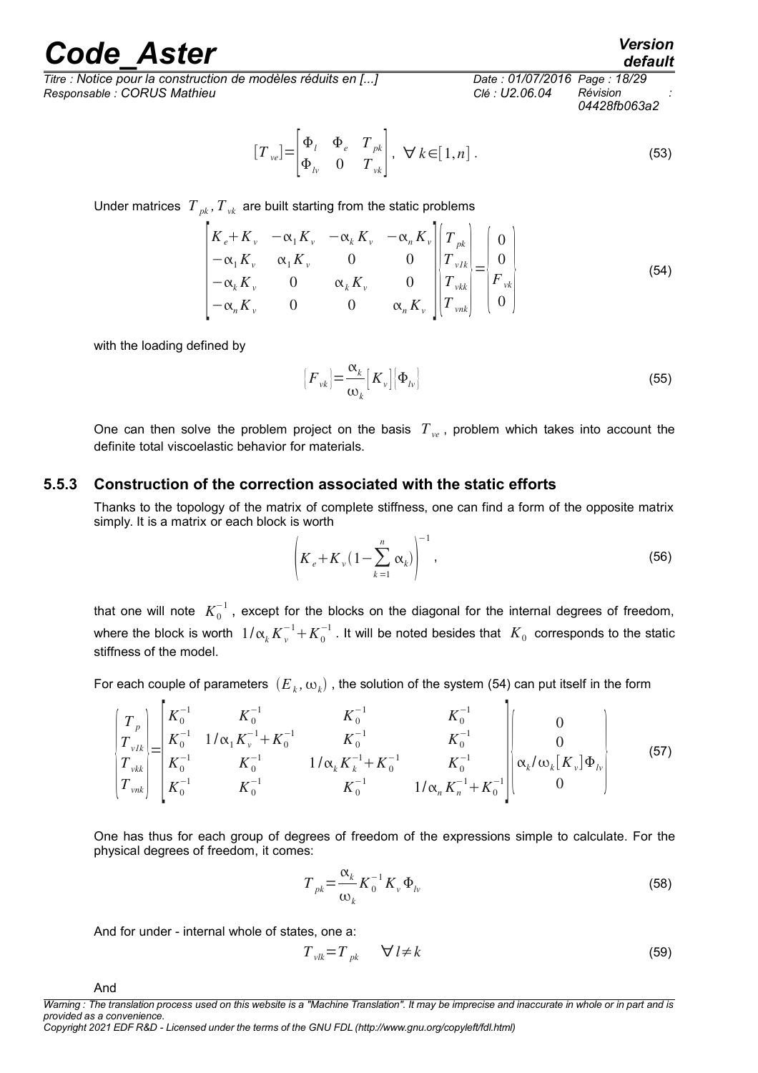*Titre : Notice pour la construction de modèles réduits en [...] Date : 01/07/2016 Page : 18/29 Responsable : CORUS Mathieu Clé : U2.06.04 Révision :*

# *04428fb063a2*

 $[T_{ve}] = \begin{cases} T \\ \Phi \end{cases}$  $\Phi$ <sub>*l*</sub>  $\Phi$ <sub>*e*</sub>  $T$ <sub>*pk*</sub>  $\Phi_{lv}$  0  $T_{vl}$ ,  $\forall k \in [1, n]$ . (53)

Under matrices  $T_{pk}$ ,  $T_{vk}$  are built starting from the static problems

$$
\begin{vmatrix} K_{e} + K_{\nu} & -\alpha_{1} K_{\nu} & -\alpha_{k} K_{\nu} & -\alpha_{n} K_{\nu} \\ -\alpha_{1} K_{\nu} & \alpha_{1} K_{\nu} & 0 & 0 \\ -\alpha_{k} K_{\nu} & 0 & \alpha_{k} K_{\nu} & 0 \\ -\alpha_{n} K_{\nu} & 0 & 0 & \alpha_{n} K_{\nu} \end{vmatrix} \begin{bmatrix} T_{\nu k} \\ T_{\nu k} \\ T_{\nu k} \\ T_{\nu n k} \end{bmatrix} = \begin{bmatrix} 0 \\ 0 \\ F_{\nu k} \\ 0 \end{bmatrix} \tag{54}
$$

with the loading defined by

$$
\left[F_{\nu k}\right] = \frac{\alpha_k}{\omega_k} \left[K_{\nu}\right] \left[\Phi_{l\nu}\right]
$$
\n(55)

One can then solve the problem project on the basis  $T_{ve}$ , problem which takes into account the definite total viscoelastic behavior for materials.

#### **5.5.3 Construction of the correction associated with the static efforts**

Thanks to the topology of the matrix of complete stiffness, one can find a form of the opposite matrix simply. It is a matrix or each block is worth

$$
\left(K_e + K_v \left(1 - \sum_{k=1}^n \alpha_k\right)\right)^{-1},
$$
\n(56)

that one will note  $\ K_0^{-1}$  , except for the blocks on the diagonal for the internal degrees of freedom, where the block is worth  $1/\alpha_k K_v^{-1}+K_0^{-1}$  . It will be noted besides that  $|K_0|$  corresponds to the static stiffness of the model.

For each couple of parameters  $\, (E_{\,k},\omega_{k})$  , the solution of the system [\(54\)](#page-17-0) can put itself in the form

$$
\begin{pmatrix}\nT_p \\
T_{\nu I k} \\
T_{\nu I k} \\
T_{\nu I k} \\
T_{\nu I k} \\
T_{\nu I k} \\
K_0^{-1}\n\end{pmatrix} =\n\begin{pmatrix}\nK_0^{-1} & K_0^{-1} & K_0^{-1} & K_0^{-1} \\
K_0^{-1} & 1/\alpha_1 K_\nu^{-1} + K_0^{-1} & K_0^{-1} \\
K_0^{-1} & K_0^{-1} & 1/\alpha_k K_k^{-1} + K_0^{-1} & K_0^{-1} \\
K_0^{-1} & K_0^{-1} & K_0^{-1} & 1/\alpha_n K_n^{-1} + K_0^{-1}\n\end{pmatrix}\n\begin{pmatrix}\n0 \\
0 \\
\alpha_k/\omega_k[K_\nu]\Phi_\nu \\
0\n\end{pmatrix}
$$
\n(57)

One has thus for each group of degrees of freedom of the expressions simple to calculate. For the physical degrees of freedom, it comes:

$$
T_{pk} = \frac{\alpha_k}{\omega_k} K_0^{-1} K_v \Phi_{lv}
$$
 (58)

And for under - internal whole of states, one a:

$$
T_{\nu l k} = T_{\mu k} \qquad \forall l \neq k \tag{59}
$$

And

*Copyright 2021 EDF R&D - Licensed under the terms of the GNU FDL (http://www.gnu.org/copyleft/fdl.html)*

<span id="page-17-1"></span><span id="page-17-0"></span>*default*

*Warning : The translation process used on this website is a "Machine Translation". It may be imprecise and inaccurate in whole or in part and is provided as a convenience.*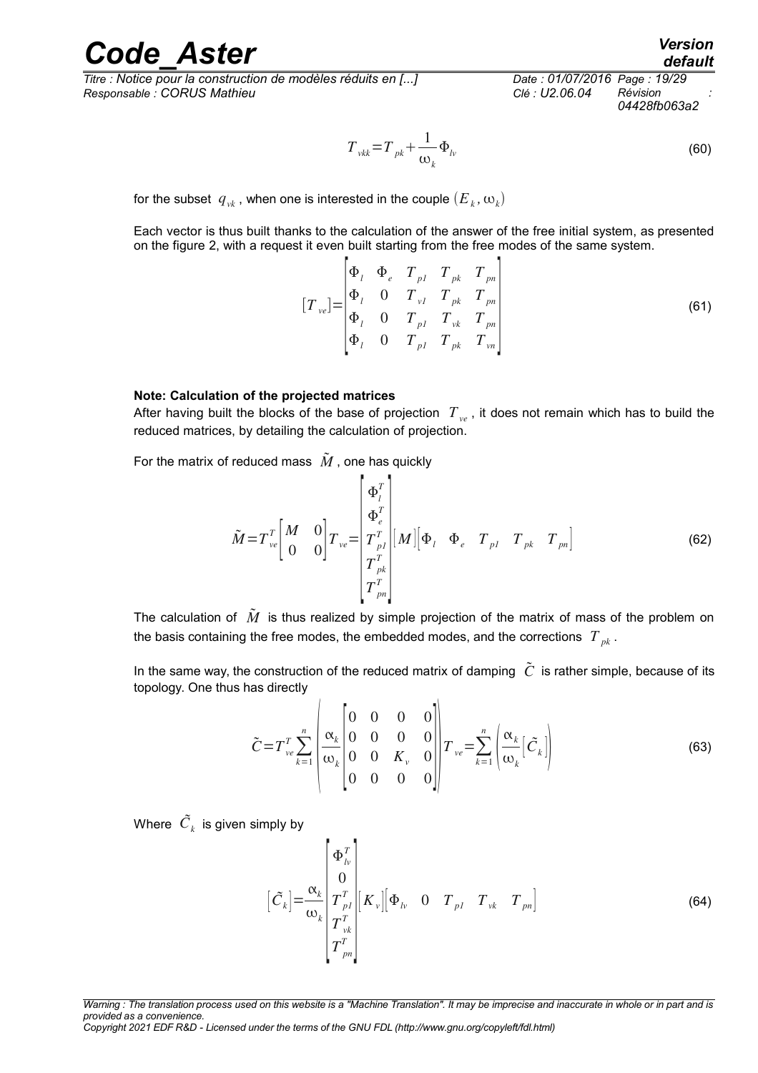*Titre : Notice pour la construction de modèles réduits en [...] Date : 01/07/2016 Page : 19/29 Responsable : CORUS Mathieu Clé : U2.06.04 Révision :*

*04428fb063a2*

$$
T_{\nu k k} = T_{\rho k} + \frac{1}{\omega_k} \Phi_{l\nu}
$$
\n(60)

for the subset  $\ q_{\nu k}$  , when one is interested in the couple  $(E_{\ \overline{k}},\omega_{\overline{k}})$ 

Each vector is thus built thanks to the calculation of the answer of the free initial system, as presented on the figure [2,](#page-16-0) with a request it even built starting from the free modes of the same system.

$$
\begin{bmatrix} T_{ve} \end{bmatrix} = \begin{bmatrix} \Phi_l & \Phi_e & T_{pl} & T_{pk} & T_{pn} \\ \Phi_l & 0 & T_{vl} & T_{pk} & T_{pn} \\ \Phi_l & 0 & T_{pl} & T_{vk} & T_{pn} \\ \Phi_l & 0 & T_{pl} & T_{pk} & T_{vn} \end{bmatrix}
$$
 (61)

#### **Note: Calculation of the projected matrices**

After having built the blocks of the base of projection  $T_{ve}$ , it does not remain which has to build the reduced matrices, by detailing the calculation of projection.

For the matrix of reduced mass  $\tilde{M}$ , one has quickly

$$
\tilde{M} = T_{ve}^{T} \begin{bmatrix} M & 0 \\ 0 & 0 \end{bmatrix} T_{ve} = \begin{bmatrix} \Phi_{l}^{T} \\ \Phi_{e}^{T} \\ T_{pl}^{T} \\ T_{pe}^{T} \\ T_{pn}^{T} \end{bmatrix} [M] \begin{bmatrix} \Phi_{l} & \Phi_{e} & T_{pl} & T_{pk} & T_{pn} \end{bmatrix}
$$
(62)

The calculation of  $\tilde{M}$  is thus realized by simple projection of the matrix of mass of the problem on the basis containing the free modes, the embedded modes, and the corrections  $T_{nk}$ .

In the same way, the construction of the reduced matrix of damping  $\tilde{C}$  is rather simple, because of its topology. One thus has directly  $\mathbf{A}$ 

$$
\tilde{C} = T_{ve}^T \sum_{k=1}^n \left| \frac{\alpha_k}{\omega_k} \begin{bmatrix} 0 & 0 & 0 & 0 \\ 0 & 0 & 0 & 0 \\ 0 & 0 & K_v & 0 \\ 0 & 0 & 0 & 0 \end{bmatrix} \right| T_{ve} = \sum_{k=1}^n \left| \frac{\alpha_k}{\omega_k} \left[ \tilde{C}_k \right] \right|
$$
(63)

Where  $\left.\tilde{C}_k\right.$  is given simply by

$$
\left[\tilde{C}_{k}\right] = \frac{\alpha_{k}}{\omega_{k}} \begin{bmatrix} \Phi_{lv}^{T} \\ 0 \\ T_{pl}^{T} \\ T_{vk}^{T} \\ T_{pn}^{T} \end{bmatrix} \begin{bmatrix} K_{v} \end{bmatrix} \begin{bmatrix} \Phi_{lv} & 0 & T_{pl} & T_{vk} & T_{pn} \end{bmatrix}
$$
\n(64)

*Warning : The translation process used on this website is a "Machine Translation". It may be imprecise and inaccurate in whole or in part and is provided as a convenience.*

*Copyright 2021 EDF R&D - Licensed under the terms of the GNU FDL (http://www.gnu.org/copyleft/fdl.html)*

*default*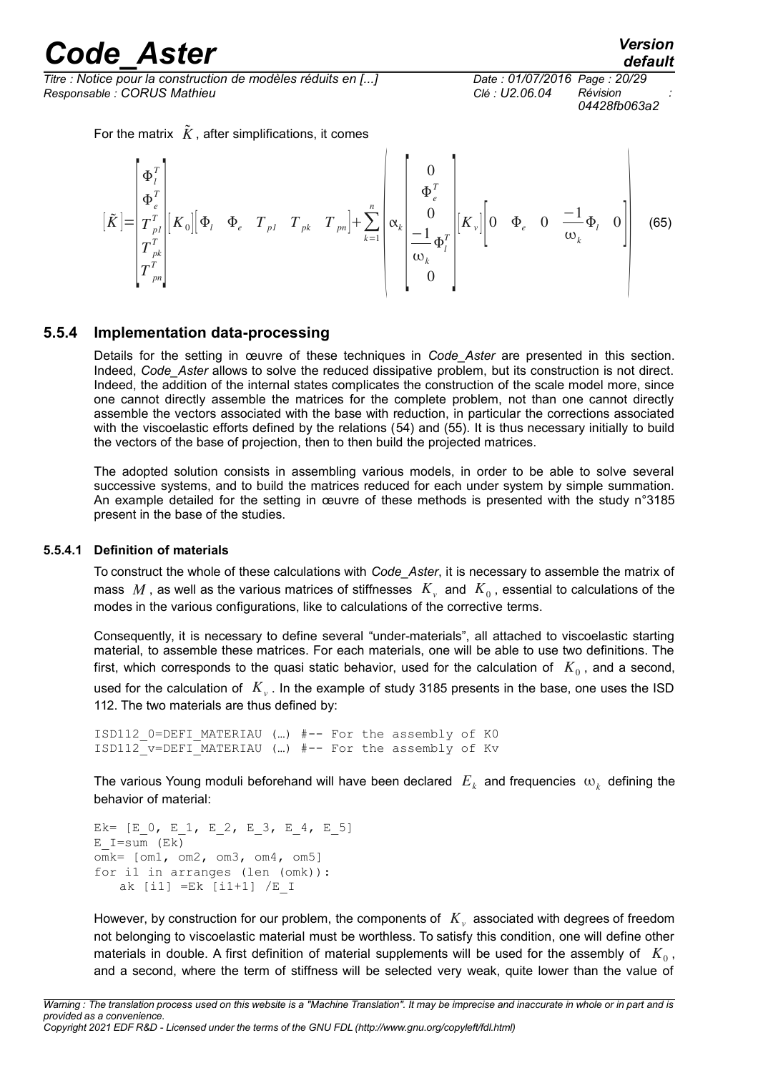*Titre : Notice pour la construction de modèles réduits en [...] Date : 01/07/2016 Page : 20/29 Responsable : CORUS Mathieu Clé : U2.06.04 Révision :*

*04428fb063a2*

For the matrix  $\tilde{K}$ , after simplifications, it comes

$$
\begin{bmatrix} \tilde{K} \end{bmatrix} = \begin{bmatrix} \Phi_i^T \\ \Phi_e^T \\ T_{pl}^T \\ T_{pn}^T \\ T_{pn}^T \end{bmatrix} \begin{bmatrix} K_0 \end{bmatrix} \Phi_l \Phi_e \quad T_{pl} \quad T_{pk} \quad T_{pn} \end{bmatrix} + \sum_{k=1}^{n} \begin{bmatrix} 0 \\ \Phi_e^T \\ 0 \\ -\frac{1}{\omega_k} \Phi_l^T \\ 0 \end{bmatrix} \begin{bmatrix} K_v \end{bmatrix} \begin{bmatrix} 0 & \Phi_e & 0 & -1 \\ \Phi_e & 0 & \frac{1}{\omega_k} \Phi_l & 0 \end{bmatrix} \quad (65)
$$

#### **5.5.4 Implementation data-processing**

Details for the setting in œuvre of these techniques in *Code\_Aster* are presented in this section. Indeed, *Code\_Aster* allows to solve the reduced dissipative problem, but its construction is not direct. Indeed, the addition of the internal states complicates the construction of the scale model more, since one cannot directly assemble the matrices for the complete problem, not than one cannot directly assemble the vectors associated with the base with reduction, in particular the corrections associated with the viscoelastic efforts defined by the relations [\(54\)](#page-17-0) and [\(55\)](#page-17-1). It is thus necessary initially to build the vectors of the base of projection, then to then build the projected matrices.

The adopted solution consists in assembling various models, in order to be able to solve several successive systems, and to build the matrices reduced for each under system by simple summation. An example detailed for the setting in œuvre of these methods is presented with the study n°3185 present in the base of the studies.

#### **5.5.4.1 Definition of materials**

To construct the whole of these calculations with *Code\_Aster*, it is necessary to assemble the matrix of mass  $M$  , as well as the various matrices of stiffnesses  $|K_{\nu}|$  and  $|K_{0}|$ , essential to calculations of the modes in the various configurations, like to calculations of the corrective terms.

Consequently, it is necessary to define several "under-materials", all attached to viscoelastic starting material, to assemble these matrices. For each materials, one will be able to use two definitions. The first, which corresponds to the quasi static behavior, used for the calculation of  $|K_{0}^{\prime}|$ , and a second, used for the calculation of *K<sup>v</sup>* . In the example of study 3185 presents in the base, one uses the ISD 112. The two materials are thus defined by:

```
ISD112_0=DEFI_MATERIAU (…) #-- For the assembly of K0
ISD112_v=DEFI_MATERIAU (…) #-- For the assembly of Kv
```
The various Young moduli beforehand will have been declared  $|E_{k}|$  and frequencies  $|w_{k}|$  defining the behavior of material:

```
Ek= [E 0, E 1, E 2, E 3, E 4, E 5]
E I=sum (Ek)
omk= [om1, om2, om3, om4, om5]
for i1 in arranges (len (omk)):
   ak [i1] =Ek [i1+1] /E_I
```
However, by construction for our problem, the components of  $|K_{\overline{v}}|$  associated with degrees of freedom not belonging to viscoelastic material must be worthless. To satisfy this condition, one will define other materials in double. A first definition of material supplements will be used for the assembly of  $K_0$ , and a second, where the term of stiffness will be selected very weak, quite lower than the value of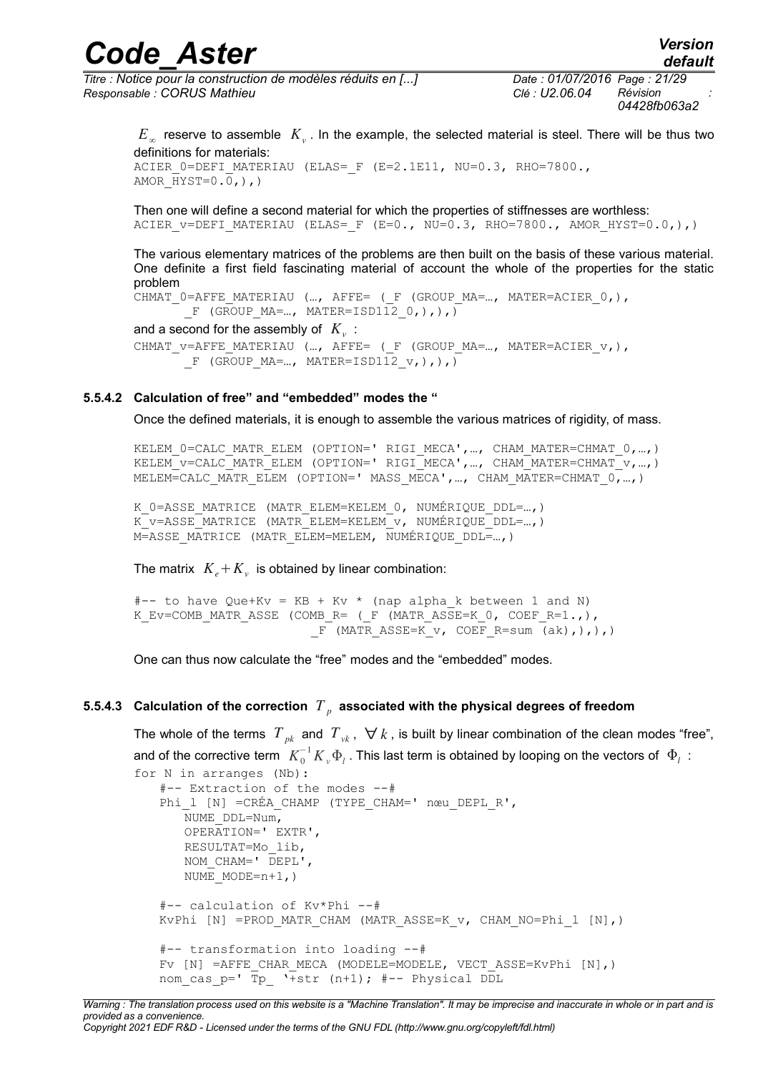*Titre : Notice pour la construction de modèles réduits en [...] Date : 01/07/2016 Page : 21/29 Responsable : CORUS Mathieu Clé : U2.06.04 Révision :*

*04428fb063a2*

 $E_{\infty}$  reserve to assemble  $|K_{\nu}|$ . In the example, the selected material is steel. There will be thus two definitions for materials: ACIER 0=DEFI MATERIAU (ELAS= F (E=2.1E11, NU=0.3, RHO=7800., AMOR  $HYST=0.0,),$ 

Then one will define a second material for which the properties of stiffnesses are worthless: ACIER V=DEFI MATERIAU (ELAS= F (E=0., NU=0.3, RHO=7800., AMOR HYST=0.0,),)

The various elementary matrices of the problems are then built on the basis of these various material. One definite a first field fascinating material of account the whole of the properties for the static problem

```
CHMAT 0=AFFE MATERIAU (..., AFFE= (F (GROUP MA=..., MATER=ACIER 0,),
      F (GROUP MA=..., MATER=ISD1120,),),
```
and a second for the assembly of  $|K_{\mathcal{V}}|$  : CHMAT\_v=AFFE\_MATERIAU (…, AFFE= ( F (GROUP MA=..., MATER=ACIER v, ), F (GROUP  $MA=...,$  MATER=ISD112  $v,),),$ 

#### **5.5.4.2 Calculation of free" and "embedded" modes the "**

Once the defined materials, it is enough to assemble the various matrices of rigidity, of mass.

KELEM 0=CALC MATR\_ELEM (OPTION=' RIGI MECA', ..., CHAM MATER=CHMAT 0, ...,) KELEM\_V=CALC\_MATR\_ELEM (OPTION=' RIGI\_MECA', ..., CHAM\_MATER=CHMAT\_V, ...,) MELEM=CALC MATR ELEM (OPTION=' MASS MECA',..., CHAM MATER=CHMAT  $0, ...$ ,)

K 0=ASSE MATRICE (MATR ELEM=KELEM 0, NUMÉRIQUE DDL=...,) K v=ASSE MATRICE (MATR ELEM=KELEM v, NUMÉRIQUE DDL=...) M=ASSE\_MATRICE\_(MATR\_ELEM=MELEM, NUMÉRIQUE\_DDL=...,)

The matrix  $K_e + K_v$  is obtained by linear combination:

#-- to have Que+Kv = KB + Kv \* (nap alpha\_k between 1 and N) K\_Ev=COMB\_MATR\_ASSE (COMB\_R= ( F (MATR\_ASSE=K 0, COEF\_R=1.,),  $F$  (MATR ASSE=K v, COEF R=sum (ak),),),)

One can thus now calculate the "free" modes and the "embedded" modes.

#### **5.5.4.3 Calculation of the correction** *T <sup>p</sup>*  **associated with the physical degrees of freedom**

The whole of the terms  $T_{pk}$  and  $T_{vk}$ ,  $\forall k$ , is built by linear combination of the clean modes "free", and of the corrective term  $\ K_0^{-1}K_{_v}\Phi_{_l}$  . This last term is obtained by looping on the vectors of  $\ \Phi_{_l}\,$  :

```
for N in arranges (Nb):
   #-- Extraction of the modes --#
   Phi 1 [N] =CRÉA CHAMP (TYPE CHAM=' nœu DEPL R',
      NUME_DDL=Num,
      OPERATION=' EXTR',
      RESULTAT=Mo_lib,
      NOM_CHAM=' DEPL',
      NUME MODE=n+1,)
   #-- calculation of Kv*Phi --#
   KvPhi [N] =PROD MATR CHAM (MATR ASSE=K v, CHAM NO=Phi l [N],)
   #-- transformation into loading --#
   Fv [N] =AFFE CHAR MECA (MODELE=MODELE, VECT ASSE=KvPhi [N],)
   nom cas p=' Tp_ '+str (n+1); #-- Physical DDL
```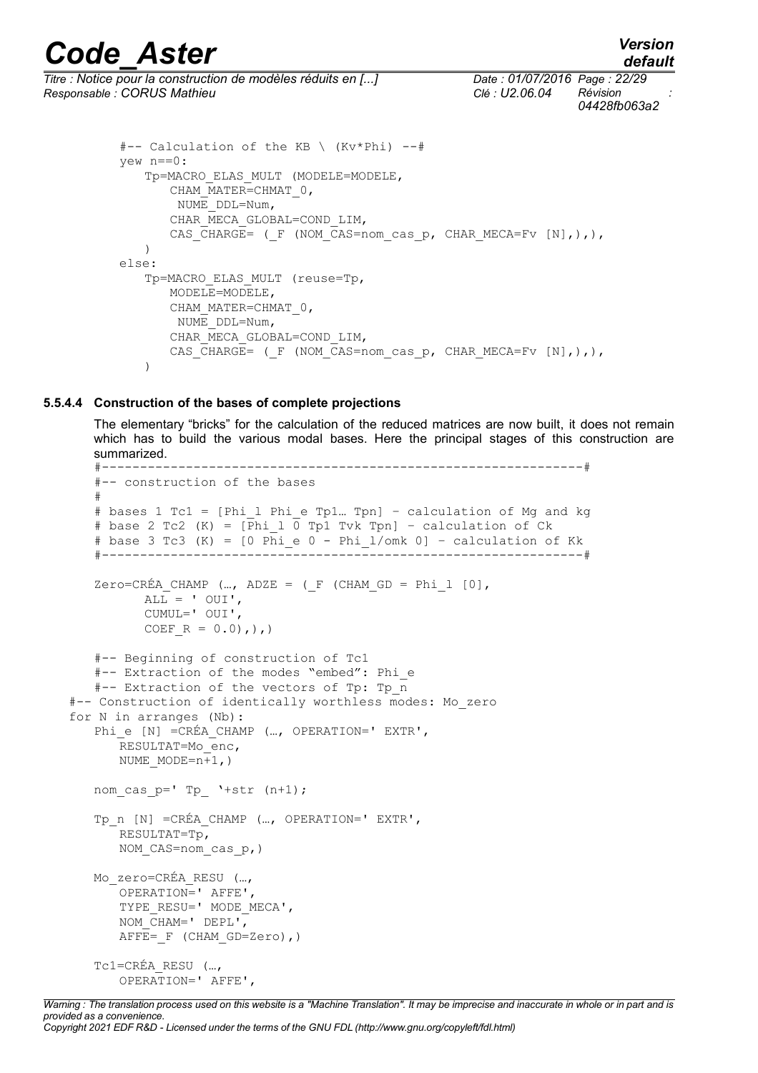*default*

*Titre : Notice pour la construction de modèles réduits en [...] Date : 01/07/2016 Page : 22/29 Responsable : CORUS Mathieu Clé : U2.06.04 Révision :*

*04428fb063a2*

```
#-- Calculation of the KB \ (Kv*Phi) --#
yew n==0:
   Tp=MACRO_ELAS_MULT (MODELE=MODELE,
      CHAM_MATER=CHMAT_0,
       NUME_DDL=Num,
      CHAR_MECA_GLOBAL=COND_LIM,
      CAS CHARGE= (F (NOM CAS=nom cas p, CHAR MECA=Fv [N],),),
   )
else:
   Tp=MACRO_ELAS_MULT (reuse=Tp,
      MODELE=MODELE,
      CHAM_MATER=CHMAT_0,
       NUME_DDL=Num,
      CHAR_MECA_GLOBAL=COND_LIM,
      CAS CHARGE= ( F (NOM CAS=nom cas p, CHAR MECA=Fv [N],),),
   )
```
#### **5.5.4.4 Construction of the bases of complete projections**

The elementary "bricks" for the calculation of the reduced matrices are now built, it does not remain which has to build the various modal bases. Here the principal stages of this construction are summarized.

```
#---------------------------------------------------------------#
   #-- construction of the bases
   #
   # bases 1 Tc1 = [Phi_l Phi_e Tp1… Tpn] – calculation of Mg and kg
   # base 2 Tc2 (K) = \lceil \overline{Phi} \rceil \rceil \bar{p} Tvk Tpn] – calculation of Ck
   # base 3 Tc3 (K) = [0 \text{ Phi} e 0 - \text{Phi 1/omk 0}] – calculation of Kk
   #---------------------------------------------------------------#
   Zero=CRÉA CHAMP (..., ADZE = (F (CHAM GD = Phi 1 [0],
          ALL = ' OUI',CUMUL=' OUI',
          COEF R = 0.0,),)
   #-- Beginning of construction of Tc1
   #-- Extraction of the modes "embed": Phi_e
   #-- Extraction of the vectors of Tp: Tp_n
#-- Construction of identically worthless modes: Mo_zero
for N in arranges (Nb):
   Phi_e [N] =CRÉA_CHAMP (..., OPERATION=' EXTR',
       RESULTAT=Mo_enc,
      NUME MODE=n+1,)
   nom cas p= Tp \rightarrow +str (n+1);
   Tp_n [N] =CRÉA_CHAMP (..., OPERATION=' EXTR',
       RESULTAT=Tp,
       NOM CAS=nom cas p, )
   Mo_zero=CRÉA_RESU (…,
       OPERATION=' AFFE',
       TYPE_RESU=' MODE MECA',
       NOM CHAM=' DEPL',
       AFFE= F (CHAM GD=Zero),)
   Tc1=CRÉA_RESU (…,
       OPERATION=' AFFE',
```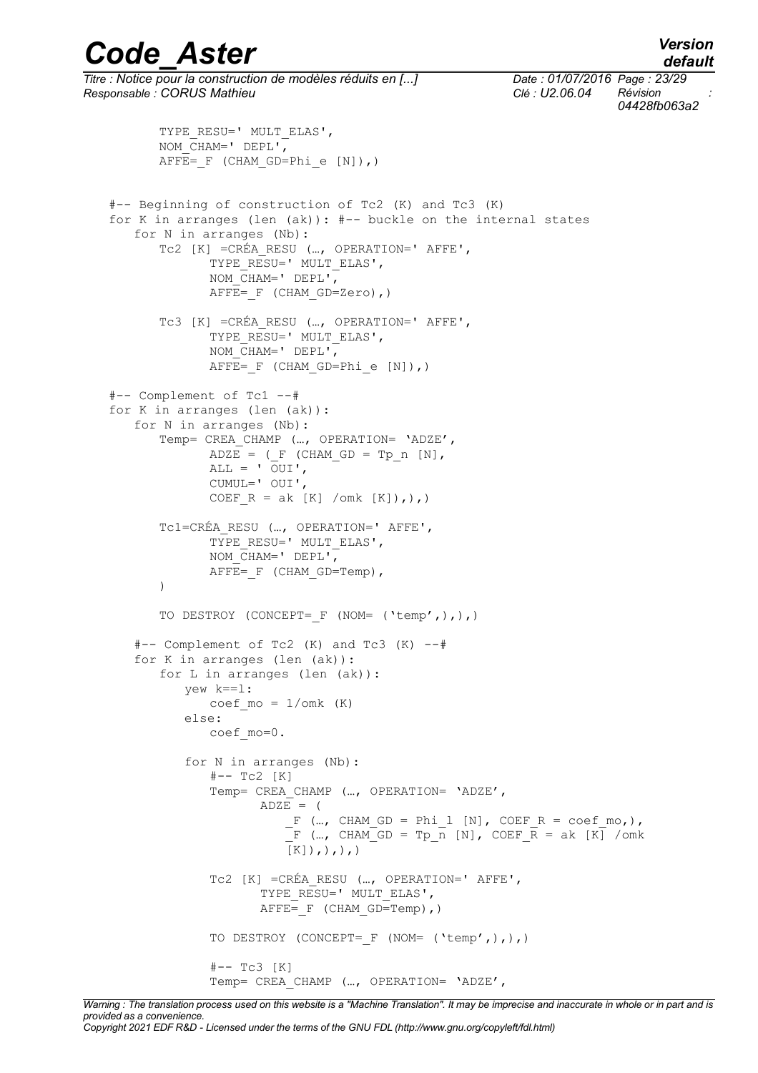## *default*

# *Code\_Aster Version*

*Titre : Notice pour la construction de modèles réduits en [...] Date : 01/07/2016 Page : 23/29 Responsable : CORUS Mathieu Clé : U2.06.04 Révision :*

*04428fb063a2*

```
TYPE_RESU=' MULT_ELAS',
      NOM_CHAM=' DEPL',
      AFFE= F (CHAM GD=Phi e [N]),)
#-- Beginning of construction of Tc2 (K) and Tc3 (K)
for K in arranges (len (ak)): #-- buckle on the internal states
   for N in arranges (Nb):
       Tc2 [K] =CRÉA_RESU (…, OPERATION=' AFFE',
             TYPE RESU=' MULT ELAS',
             NOM CHAM=' DEPL',
             AFFE= F (CHAM GD=Zero),)
      Tc3 [K] =CRÉA_RESU (…, OPERATION=' AFFE',
             TYPE RESU=' MULT ELAS',
             NOM CHAM=' DEPL',
             \overline{AFFE} = F (CHAM GD=Phi e [N]),)
#-- Complement of Tc1 --#
for K in arranges (len (ak)):
   for N in arranges (Nb):
       Temp= CREA CHAMP (..., OPERATION= 'ADZE',
             ADZE = (F (CHAM GD = Tp n [N],ALL = \overline{O}UI',
             CUMUL=' OUI',
             COEF R = ak [K] / omk [K]),Tc1=CRÉA_RESU (…, OPERATION=' AFFE',
             TYPE_RESU=' MULT_ELAS',
             NOM CHAM=' DEPL',
             AFFE= F (CHAM GD=Temp),
       )
      TO DESTROY (CONCEPT= F (NOM= ('temp',),),)
   #-- Complement of Tc2 (K) and Tc3 (K) --#
   for K in arranges (len (ak)):
      for L in arranges (len (ak)):
          yew k==l:
             coef mo = 1/omk (K)
          else:
             coef_mo=0.
          for N in arranges (Nb):
             #-- Tc2 [K]Temp= CREA CHAMP (..., OPERATION= 'ADZE',
                    ADZE = (F (..., CHAM GD = Phi l [N], COEF R = coef mo,),
                         \overline{F} (…, CHAM GD = Tp n [N], COEF \overline{R} = ak [K] /omk
                        [K],,,,,,
             Tc2 [K] =CRÉA_RESU (…, OPERATION=' AFFE',
                     TYPE RESU=' MULT ELAS',
                    AFFE= F (CHAM GD=Temp),)
             TO DESTROY (CONCEPT= F (NOM= ('temp',),),)
              #-- Tc3 [K]
             Temp= CREA_CHAMP (…, OPERATION= 'ADZE',
```
*Warning : The translation process used on this website is a "Machine Translation". It may be imprecise and inaccurate in whole or in part and is provided as a convenience. Copyright 2021 EDF R&D - Licensed under the terms of the GNU FDL (http://www.gnu.org/copyleft/fdl.html)*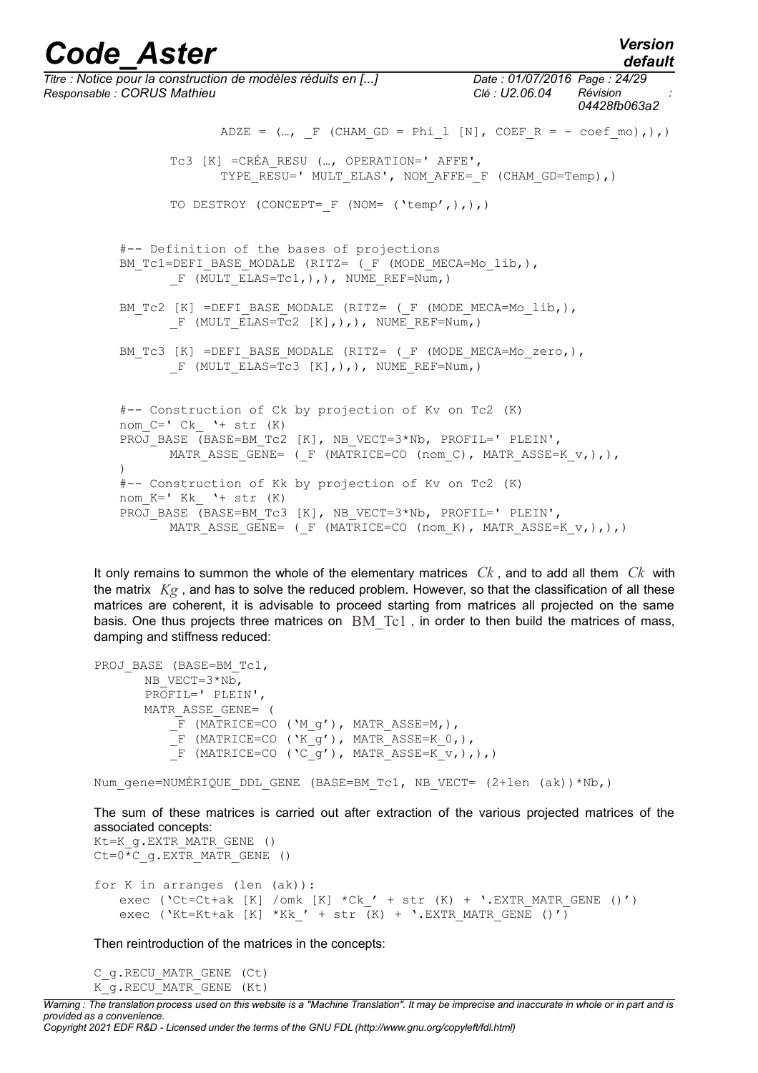*Titre : Notice pour la construction de modèles réduits en [...] Date : 01/07/2016 Page : 24/29 Responsable : CORUS Mathieu Clé : U2.06.04 Révision : 04428fb063a2* ADZE =  $(...,$  F (CHAM GD = Phi 1 [N], COEF R = - coef mo),), Tc3 [K] =CRÉA\_RESU (…, OPERATION=' AFFE', TYPE\_RESU=' MULT\_ELAS', NOM\_AFFE=\_F (CHAM\_GD=Temp),) TO DESTROY (CONCEPT= F (NOM= ('temp',),),) #-- Definition of the bases of projections BM\_Tc1=DEFI\_BASE\_MODALE (RITZ= ( F (MODE MECA=Mo\_lib,), F (MULT ELAS=Tc1,),), NUME REF=Num,) BM\_TC2 [K] =DEFI\_BASE\_MODALE (RITZ= (\_F (MODE\_MECA=Mo\_lib,),  $F$  (MULT ELAS=Tc2 [K],),), NUME REF=Num,) BM\_TC3 [K] =DEFI\_BASE\_MODALE (RITZ= ( F (MODE MECA=Mo\_zero,),  $F$  (MULT ELAS=Tc3 [K],),), NUME REF=Num,) #-- Construction of Ck by projection of Kv on Tc2 (K) nom  $C=$ ' Ck '+ str  $(K)$ PROJ BASE (BASE=BM\_Tc2 [K], NB\_VECT=3\*Nb, PROFIL=' PLEIN', MATR ASSE GENE= ( F (MATRICE=CO (nom C), MATR ASSE=K  $v,$ ),), ) #-- Construction of Kk by projection of Kv on Tc2 (K) nom  $K=$ ' Kk '+ str  $(K)$ PROJ BASE (BASE=BM Tc3 [K], NB VECT=3\*Nb, PROFIL=' PLEIN', MATR ASSE GENE= ( F (MATRICE=CO (nom K), MATR ASSE=K v, ), ),)

It only remains to summon the whole of the elementary matrices *Ck* , and to add all them *Ck* with the matrix *Kg* , and has to solve the reduced problem. However, so that the classification of all these matrices are coherent, it is advisable to proceed starting from matrices all projected on the same basis. One thus projects three matrices on BM Tc1, in order to then build the matrices of mass, damping and stiffness reduced:

```
PROJ BASE (BASE=BM Tc1,
           NB_VECT=3*Nb,
           PROFIL=' PLEIN',
           MATR_ASSE_GENE= (
                  \begin{tabular}{ll} $\quad \text{F} \quad (\mathtt{MATRICE=CO} \quad (\mathtt{`M\_g'}) \text{, } \mathtt{MATR} \text{ .ASSE=M, )}, \end{tabular}\overline{\phantom{a}} \overline{\phantom{a}} (MATRICE=CO ('K g'), MATR ASSE=K 0,),
                 \Gamma (MATRICE=CO ('C_g'), MATR ASSE=K v,),),)
```
Num gene=NUMÉRIQUE DDL GENE (BASE=BM Tc1, NB VECT= (2+len (ak))\*Nb,)

The sum of these matrices is carried out after extraction of the various projected matrices of the associated concepts:

```
Kt=K g.EXTR MATR GENE ()
Ct=0<sup>*</sup>C g.EXTR MATR GENE ()
for K in arranges (len (ak)):
   exec ('Ct=Ct+ak [K] /omk [K] *Ck ' + str (K) + '.EXTR MATR GENE ()')
   exec ('Kt=Kt+ak [K] *Kk' + str (K) + '.EXTR MATR GENE ()')
```
Then reintroduction of the matrices in the concepts:

```
C_g.RECU_MATR_GENE (Ct)
K G.RECU MATR GENE (Kt)
```
*Warning : The translation process used on this website is a "Machine Translation". It may be imprecise and inaccurate in whole or in part and is provided as a convenience. Copyright 2021 EDF R&D - Licensed under the terms of the GNU FDL (http://www.gnu.org/copyleft/fdl.html)*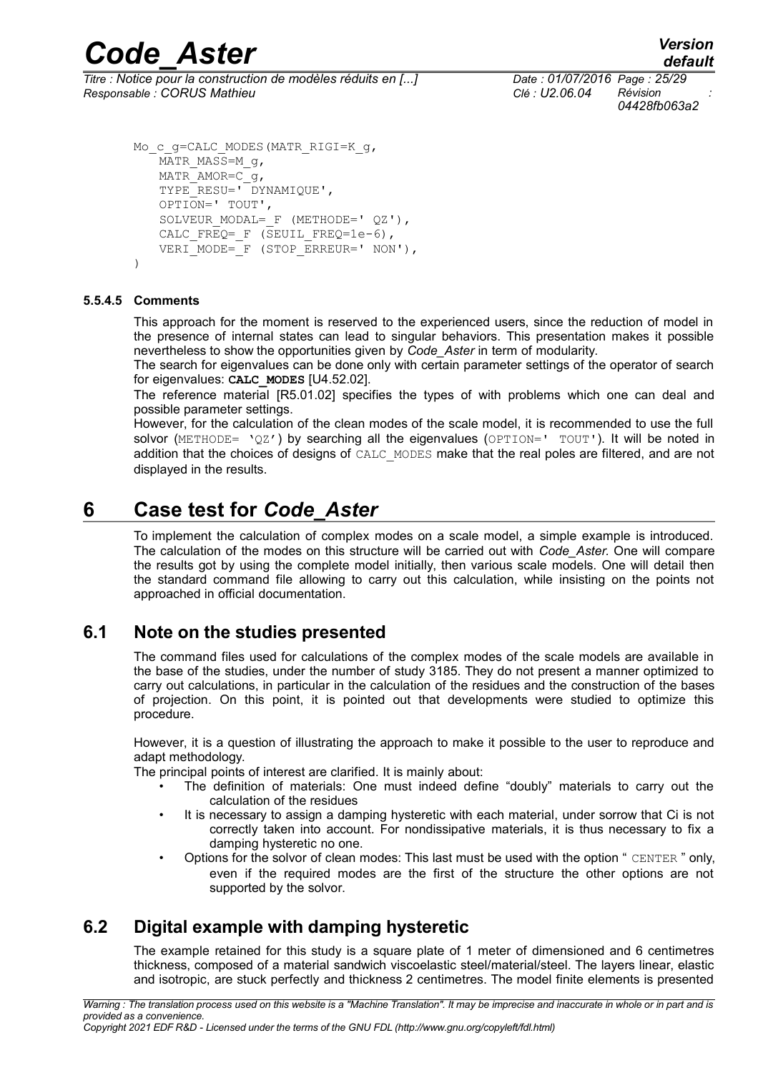*Titre : Notice pour la construction de modèles réduits en [...] Date : 01/07/2016 Page : 25/29 Responsable : CORUS Mathieu Clé : U2.06.04 Révision :*

*04428fb063a2*

```
Mo_c_q=CALC_MODES(MATR_RIGI=K_q,
   MATR MASS=M g,
   MATRAMOR=Cg,
   TYPE_RESU=' DYNAMIQUE',
   OPTION=' TOUT',
   SOLVEUR MODAL= F (METHODE=' QZ'),
   CALC FREQ= F (SEUIL FREQ=1e-6),
   VERT MODE=F (STOP ERREUR=' NON'),
```

```
\lambda
```
#### **5.5.4.5 Comments**

This approach for the moment is reserved to the experienced users, since the reduction of model in the presence of internal states can lead to singular behaviors. This presentation makes it possible nevertheless to show the opportunities given by *Code\_Aster* in term of modularity.

The search for eigenvalues can be done only with certain parameter settings of the operator of search for eigenvalues: **CALC\_MODES** [U4.52.02].

The reference material [R5.01.02] specifies the types of with problems which one can deal and possible parameter settings.

However, for the calculation of the clean modes of the scale model, it is recommended to use the full solvor (METHODE= 'QZ') by searching all the eigenvalues (OPTION=' TOUT'). It will be noted in addition that the choices of designs of CALC\_MODES make that the real poles are filtered, and are not displayed in the results.

## **6 Case test for** *Code\_Aster*

To implement the calculation of complex modes on a scale model, a simple example is introduced. The calculation of the modes on this structure will be carried out with *Code\_Aster.* One will compare the results got by using the complete model initially, then various scale models. One will detail then the standard command file allowing to carry out this calculation, while insisting on the points not approached in official documentation.

### **6.1 Note on the studies presented**

The command files used for calculations of the complex modes of the scale models are available in the base of the studies, under the number of study 3185. They do not present a manner optimized to carry out calculations, in particular in the calculation of the residues and the construction of the bases of projection. On this point, it is pointed out that developments were studied to optimize this procedure.

However, it is a question of illustrating the approach to make it possible to the user to reproduce and adapt methodology.

The principal points of interest are clarified. It is mainly about:

- The definition of materials: One must indeed define "doubly" materials to carry out the calculation of the residues
- It is necessary to assign a damping hysteretic with each material, under sorrow that Ci is not correctly taken into account. For nondissipative materials, it is thus necessary to fix a damping hysteretic no one.
- Options for the solvor of clean modes: This last must be used with the option " CENTER " only, even if the required modes are the first of the structure the other options are not supported by the solvor.

### **6.2 Digital example with damping hysteretic**

The example retained for this study is a square plate of 1 meter of dimensioned and 6 centimetres thickness, composed of a material sandwich viscoelastic steel/material/steel. The layers linear, elastic and isotropic, are stuck perfectly and thickness 2 centimetres. The model finite elements is presented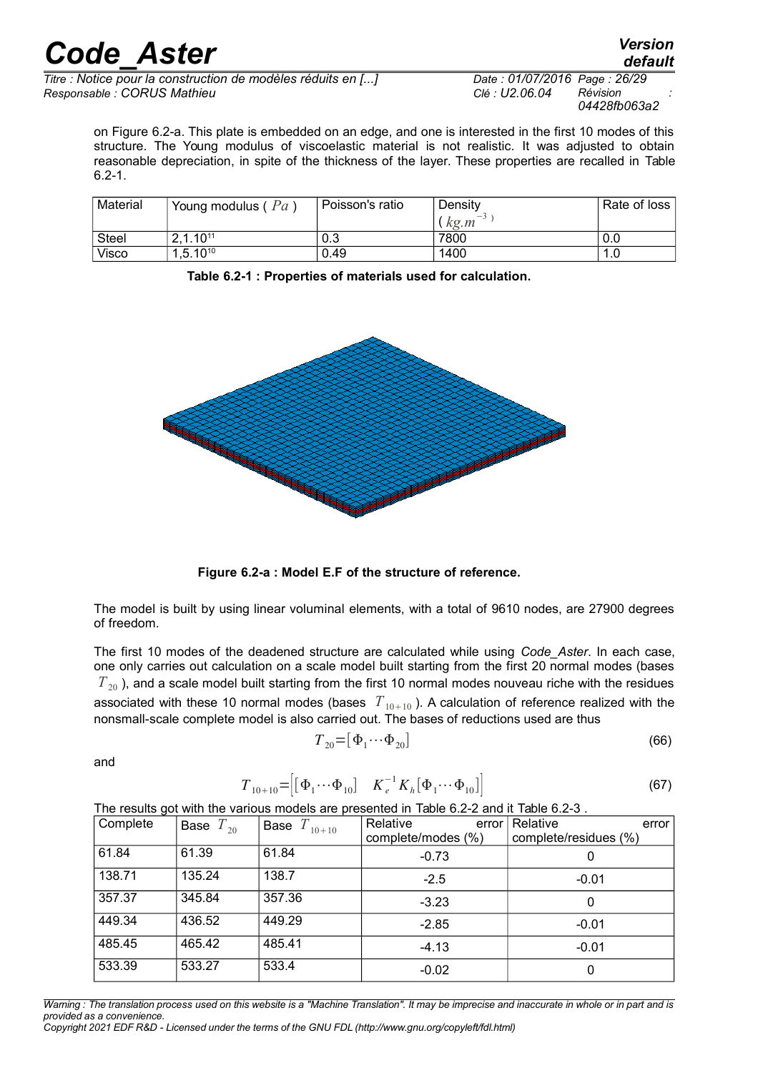*Titre : Notice pour la construction de modèles réduits en [...] Date : 01/07/2016 Page : 26/29 Responsable : CORUS Mathieu Clé : U2.06.04 Révision :*

*04428fb063a2*

on [Figure 6.2-a.](#page-25-1) This plate is embedded on an edge, and one is interested in the first 10 modes of this structure. The Young modulus of viscoelastic material is not realistic. It was adjusted to obtain reasonable depreciation, in spite of the thickness of the layer. These properties are recalled in [Table](#page-25-0) [6.2-1.](#page-25-0)

| Material     | Young modulus ( $Pa$ ) | Poisson's ratio | Density | Rate of loss I |
|--------------|------------------------|-----------------|---------|----------------|
|              |                        |                 | kg.m    |                |
| <b>Steel</b> | 2,1.10 <sup>11</sup>   | 0.3             | 7800    | 0.0            |
| Visco        | $1,5.10^{10}$          | 0.49            | 1400    | 1.0            |

<span id="page-25-0"></span>**Table 6.2-1 : Properties of materials used for calculation.**



<span id="page-25-1"></span>**Figure 6.2-a : Model E.F of the structure of reference.**

The model is built by using linear voluminal elements, with a total of 9610 nodes, are 27900 degrees of freedom.

The first 10 modes of the deadened structure are calculated while using *Code\_Aster*. In each case, one only carries out calculation on a scale model built starting from the first 20 normal modes (bases  $T_{20}$ ), and a scale model built starting from the first 10 normal modes nouveau riche with the residues associated with these 10 normal modes (bases  $T_{10+10}$ ). A calculation of reference realized with the nonsmall-scale complete model is also carried out. The bases of reductions used are thus

$$
T_{20} = \left[\Phi_1 \cdots \Phi_{20}\right] \tag{66}
$$

and

$$
T_{10+10} = \left[ [\Phi_1 \cdots \Phi_{10}] \quad K_e^{-1} K_h [\Phi_1 \cdots \Phi_{10}] \right]
$$
 (67)

The results got with the various models are presented in [Table 6.2-2](#page-26-1) and it [Table 6.2-3](#page-26-0) .

| ັ<br>Complete | Base $T_{20}$ | <b>Base</b> $T_{10+10}$ | Relative<br>error<br>complete/modes (%) | Relative<br>error<br>complete/residues (%) |
|---------------|---------------|-------------------------|-----------------------------------------|--------------------------------------------|
| 61.84         | 61.39         | 61.84                   | $-0.73$                                 | 0                                          |
| 138.71        | 135.24        | 138.7                   | $-2.5$                                  | $-0.01$                                    |
| 357.37        | 345.84        | 357.36                  | $-3.23$                                 | 0                                          |
| 449.34        | 436.52        | 449.29                  | $-2.85$                                 | $-0.01$                                    |
| 485.45        | 465.42        | 485.41                  | $-4.13$                                 | $-0.01$                                    |
| 533.39        | 533.27        | 533.4                   | $-0.02$                                 | 0                                          |

*Warning : The translation process used on this website is a "Machine Translation". It may be imprecise and inaccurate in whole or in part and is provided as a convenience.*

*Copyright 2021 EDF R&D - Licensed under the terms of the GNU FDL (http://www.gnu.org/copyleft/fdl.html)*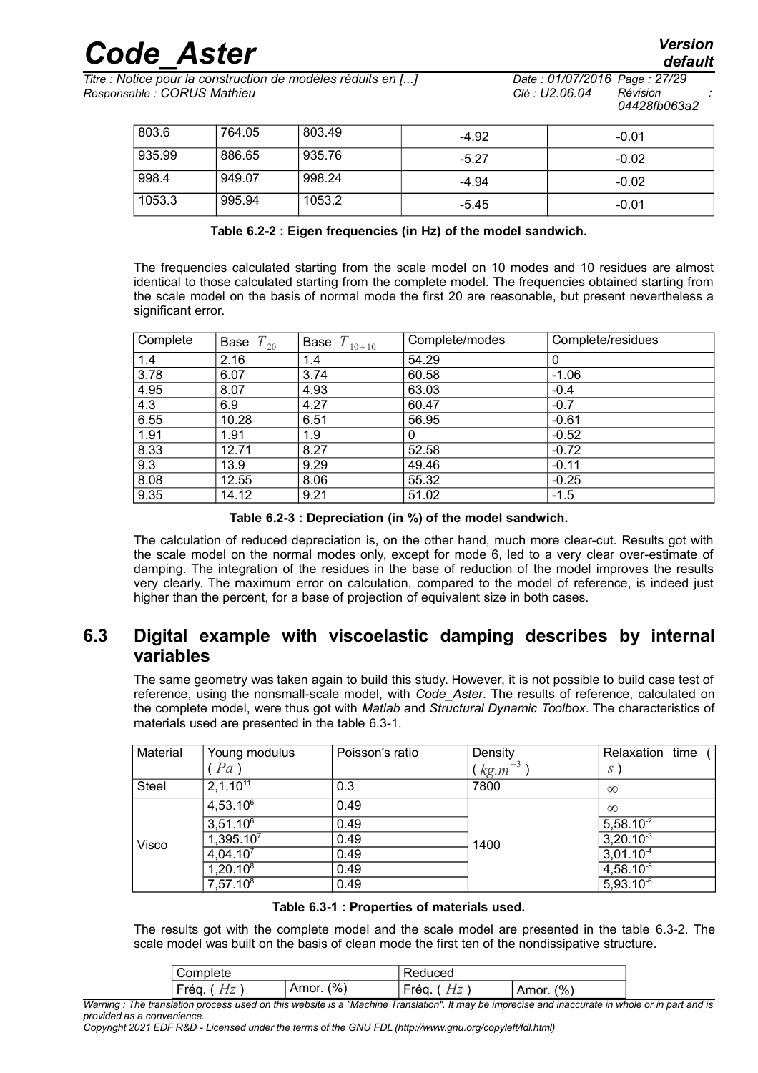*Titre : Notice pour la construction de modèles réduits en [...] Date : 01/07/2016 Page : 27/29 Responsable : CORUS Mathieu Clé : U2.06.04 Révision :*

| 803.6  | 764.05 | 803.49 | $-4.92$ | $-0.01$ |
|--------|--------|--------|---------|---------|
| 935.99 | 886.65 | 935.76 | $-5.27$ | $-0.02$ |
| 998.4  | 949.07 | 998.24 | $-4.94$ | $-0.02$ |
| 1053.3 | 995.94 | 1053.2 | $-5.45$ | $-0.01$ |

<span id="page-26-1"></span>**Table 6.2-2 : Eigen frequencies (in Hz) of the model sandwich.**

The frequencies calculated starting from the scale model on 10 modes and 10 residues are almost identical to those calculated starting from the complete model. The frequencies obtained starting from the scale model on the basis of normal mode the first 20 are reasonable, but present nevertheless a significant error.

| Complete | Base $T_{20}$ | $T_{10+10}$<br>Base | Complete/modes | Complete/residues |
|----------|---------------|---------------------|----------------|-------------------|
| 1.4      | 2.16          | 1.4                 | 54.29          | 0                 |
| 3.78     | 6.07          | 3.74                | 60.58          | $-1.06$           |
| 4.95     | 8.07          | 4.93                | 63.03          | $-0.4$            |
| 4.3      | 6.9           | 4.27                | 60.47          | $-0.7$            |
| 6.55     | 10.28         | 6.51                | 56.95          | $-0.61$           |
| 1.91     | 1.91          | 1.9                 | 0              | $-0.52$           |
| 8.33     | 12.71         | 8.27                | 52.58          | $-0.72$           |
| 9.3      | 13.9          | 9.29                | 49.46          | $-0.11$           |
| 8.08     | 12.55         | 8.06                | 55.32          | $-0.25$           |
| 9.35     | 14.12         | 9.21                | 51.02          | $-1.5$            |

<span id="page-26-0"></span>**Table 6.2-3 : Depreciation (in %) of the model sandwich.**

The calculation of reduced depreciation is, on the other hand, much more clear-cut. Results got with the scale model on the normal modes only, except for mode 6, led to a very clear over-estimate of damping. The integration of the residues in the base of reduction of the model improves the results very clearly. The maximum error on calculation, compared to the model of reference, is indeed just higher than the percent, for a base of projection of equivalent size in both cases.

### **6.3 Digital example with viscoelastic damping describes by internal variables**

The same geometry was taken again to build this study. However, it is not possible to build case test of reference, using the nonsmall-scale model, with *Code\_Aster*. The results of reference, calculated on the complete model, were thus got with *Matlab* and *Structural Dynamic Toolbox*. The characteristics of materials used are presented in the table [6.3-1.](#page-26-2)

| Material     | Young modulus         | Poisson's ratio | Density       | Relaxation time ( |
|--------------|-----------------------|-----------------|---------------|-------------------|
|              | (Pa)                  |                 | $(kg.m^{-3})$ | $S^{\prime}$      |
| <b>Steel</b> | 2,1.10 <sup>11</sup>  | 0.3             | 7800          | $\infty$          |
|              | $4,53.10^6$           | 0.49            |               | $\infty$          |
|              | $3,51.10^6$           | 0.49            | 1400          | $5,58.10^{-2}$    |
| Visco        | 1,395.10 <sup>7</sup> | 0.49            |               | $3,20.10^{-3}$    |
|              | 4,04.10 <sup>7</sup>  | 0.49            |               | $3,01.10^{-4}$    |
|              | $1,20.10^8$           | 0.49            |               | $4,58.10^{-5}$    |
|              | $7,57.10^8$           | 0.49            |               | $5,93.10^{-6}$    |

<span id="page-26-2"></span>

| Table 6.3-1 : Properties of materials used. |  |  |  |
|---------------------------------------------|--|--|--|
|---------------------------------------------|--|--|--|

The results got with the complete model and the scale model are presented in the table [6.3-2.](#page-27-0) The scale model was built on the basis of clean mode the first ten of the nondissipative structure.

| $\frac{10}{6}$<br>$\overline{\phantom{0}}$<br>Amor<br>(%`<br>réa<br>∽rég.<br>--<br>Amor.<br>-<br>-<br>-- | olete،<br>omrـ | duced<br>،⇔ |  |
|----------------------------------------------------------------------------------------------------------|----------------|-------------|--|
|                                                                                                          |                |             |  |

*Warning : The translation process used on this website is a "Machine Translation". It may be imprecise and inaccurate in whole or in part and is provided as a convenience.*

*Copyright 2021 EDF R&D - Licensed under the terms of the GNU FDL (http://www.gnu.org/copyleft/fdl.html)*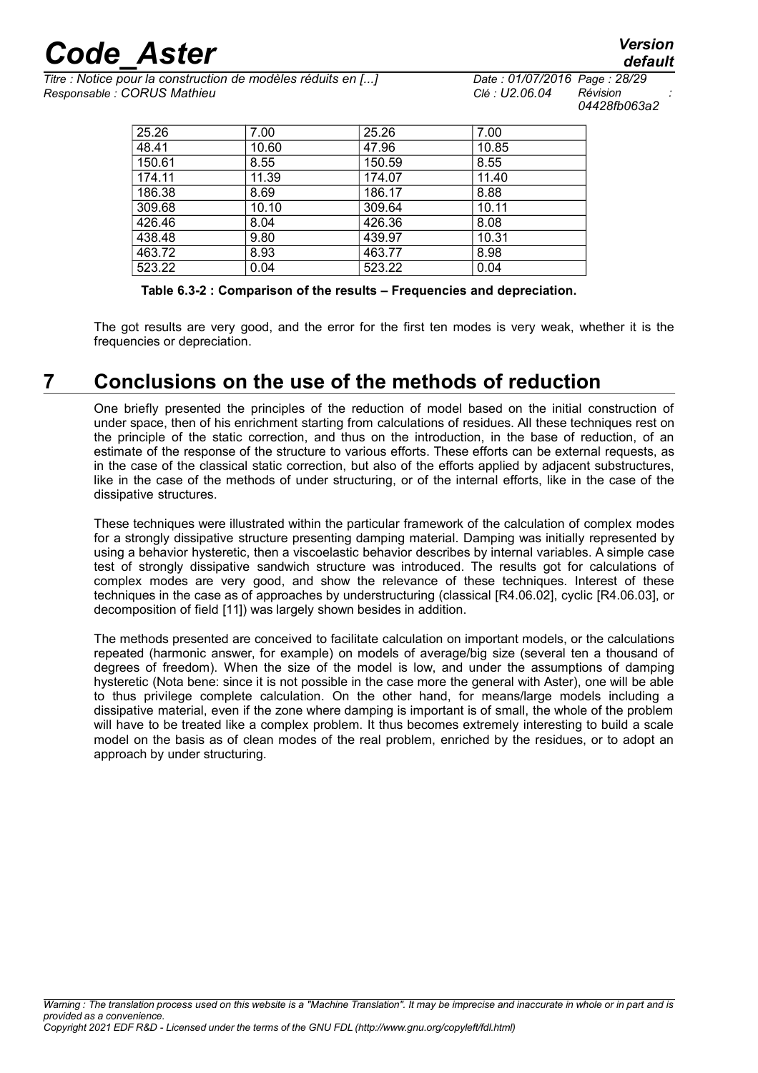*Titre : Notice pour la construction de modèles réduits en [...] Date : 01/07/2016 Page : 28/29 Responsable : CORUS Mathieu Clé : U2.06.04 Révision :*

*04428fb063a2*

| 25.26  | 7.00  | 25.26  | 7.00  |
|--------|-------|--------|-------|
| 48.41  | 10.60 | 47.96  | 10.85 |
| 150.61 | 8.55  | 150.59 | 8.55  |
| 174.11 | 11.39 | 174.07 | 11.40 |
| 186.38 | 8.69  | 186.17 | 8.88  |
| 309.68 | 10.10 | 309.64 | 10.11 |
| 426.46 | 8.04  | 426.36 | 8.08  |
| 438.48 | 9.80  | 439.97 | 10.31 |
| 463.72 | 8.93  | 463.77 | 8.98  |
| 523.22 | 0.04  | 523.22 | 0.04  |

<span id="page-27-0"></span>**Table 6.3-2 : Comparison of the results – Frequencies and depreciation.**

The got results are very good, and the error for the first ten modes is very weak, whether it is the frequencies or depreciation.

## **7 Conclusions on the use of the methods of reduction**

One briefly presented the principles of the reduction of model based on the initial construction of under space, then of his enrichment starting from calculations of residues. All these techniques rest on the principle of the static correction, and thus on the introduction, in the base of reduction, of an estimate of the response of the structure to various efforts. These efforts can be external requests, as in the case of the classical static correction, but also of the efforts applied by adjacent substructures, like in the case of the methods of under structuring, or of the internal efforts, like in the case of the dissipative structures.

These techniques were illustrated within the particular framework of the calculation of complex modes for a strongly dissipative structure presenting damping material. Damping was initially represented by using a behavior hysteretic, then a viscoelastic behavior describes by internal variables. A simple case test of strongly dissipative sandwich structure was introduced. The results got for calculations of complex modes are very good, and show the relevance of these techniques. Interest of these techniques in the case as of approaches by understructuring (classical [R4.06.02], cyclic [R4.06.03], or decomposition of field [11]) was largely shown besides in addition.

The methods presented are conceived to facilitate calculation on important models, or the calculations repeated (harmonic answer, for example) on models of average/big size (several ten a thousand of degrees of freedom). When the size of the model is low, and under the assumptions of damping hysteretic (Nota bene: since it is not possible in the case more the general with Aster), one will be able to thus privilege complete calculation. On the other hand, for means/large models including a dissipative material, even if the zone where damping is important is of small, the whole of the problem will have to be treated like a complex problem. It thus becomes extremely interesting to build a scale model on the basis as of clean modes of the real problem, enriched by the residues, or to adopt an approach by under structuring.

# *default*